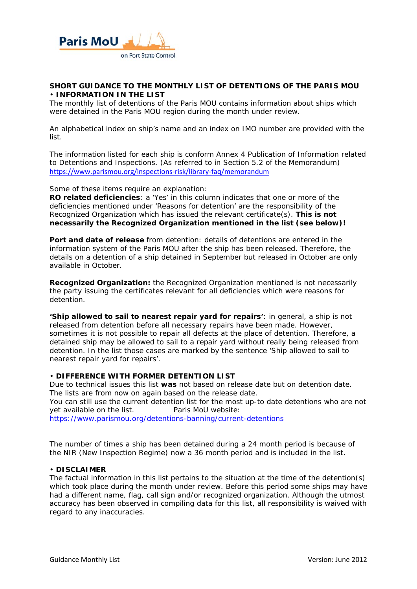

### **SHORT GUIDANCE TO THE MONTHLY LIST OF DETENTIONS OF THE PARIS MOU**  • **INFORMATION IN THE LIST**

The monthly list of detentions of the Paris MOU contains information about ships which were detained in the Paris MOU region during the month under review.

An alphabetical index on ship's name and an index on IMO number are provided with the list.

The information listed for each ship is conform Annex 4 Publication of Information related to Detentions and Inspections. (As referred to in Section 5.2 of the Memorandum) https://www.parismou.org/inspections‐risk/library‐faq/memorandum

Some of these items require an explanation:

**RO related deficiencies**: a 'Yes' in this column indicates that one or more of the deficiencies mentioned under 'Reasons for detention' are the responsibility of the Recognized Organization which has issued the relevant certificate(s). **This is not necessarily the Recognized Organization mentioned in the list (see below)!** 

**Port and date of release** from detention: details of detentions are entered in the information system of the Paris MOU after the ship has been released. Therefore, the details on a detention of a ship detained in September but released in October are only available in October.

**Recognized Organization:** the Recognized Organization mentioned is not necessarily the party issuing the certificates relevant for all deficiencies which were reasons for detention.

**'Ship allowed to sail to nearest repair yard for repairs'**: in general, a ship is not released from detention before all necessary repairs have been made. However, sometimes it is not possible to repair all defects at the place of detention. Therefore, a detained ship may be allowed to sail to a repair yard without really being released from detention. In the list those cases are marked by the sentence 'Ship allowed to sail to nearest repair yard for repairs'.

### • **DIFFERENCE WITH FORMER DETENTION LIST**

Due to technical issues this list **was** not based on release date but on detention date. The lists are from now on again based on the release date. You can still use the current detention list for the most up-to date detentions who are not yet available on the list. Paris MoU website: https://www.parismou.org/detentions-banning/current-detentions

The number of times a ship has been detained during a 24 month period is because of the NIR (New Inspection Regime) now a 36 month period and is included in the list.

#### • **DISCLAIMER**

The factual information in this list pertains to the situation at the time of the detention(s) which took place during the month under review. Before this period some ships may have had a different name, flag, call sign and/or recognized organization. Although the utmost accuracy has been observed in compiling data for this list, all responsibility is waived with regard to any inaccuracies.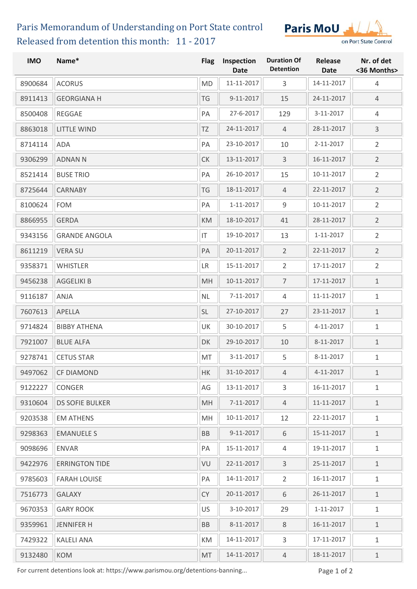# Released from detention this month: 11 - 2017 Paris Memorandum of Understanding on Port State control



| <b>IMO</b> | Name*                  | <b>Flag</b>            | Inspection<br><b>Date</b> | <b>Duration Of</b><br><b>Detention</b> | Release<br><b>Date</b> | Nr. of det<br><36 Months> |
|------------|------------------------|------------------------|---------------------------|----------------------------------------|------------------------|---------------------------|
| 8900684    | <b>ACORUS</b>          | <b>MD</b>              | 11-11-2017                | 3                                      | 14-11-2017             | $\overline{4}$            |
| 8911413    | <b>GEORGIANA H</b>     | TG                     | 9-11-2017                 | 15                                     | 24-11-2017             | $\overline{4}$            |
| 8500408    | <b>REGGAE</b>          | PA                     | 27-6-2017                 | 129                                    | 3-11-2017              | 4                         |
| 8863018    | <b>LITTLE WIND</b>     | TZ                     | 24-11-2017                | $\overline{4}$                         | 28-11-2017             | $\mathsf{3}$              |
| 8714114    | ADA                    | PA                     | 23-10-2017                | 10                                     | 2-11-2017              | $\overline{2}$            |
| 9306299    | <b>ADNAN N</b>         | ${\sf C}{\sf K}$       | 13-11-2017                | 3                                      | 16-11-2017             | $\overline{2}$            |
| 8521414    | <b>BUSE TRIO</b>       | PA                     | 26-10-2017                | 15                                     | 10-11-2017             | $\overline{2}$            |
| 8725644    | <b>CARNABY</b>         | TG                     | 18-11-2017                | $\overline{4}$                         | 22-11-2017             | $\overline{2}$            |
| 8100624    | <b>FOM</b>             | PA                     | 1-11-2017                 | 9                                      | 10-11-2017             | $\overline{2}$            |
| 8866955    | <b>GERDA</b>           | KM                     | 18-10-2017                | 41                                     | 28-11-2017             | $\overline{2}$            |
| 9343156    | <b>GRANDE ANGOLA</b>   | $\mathsf{I}\mathsf{T}$ | 19-10-2017                | 13                                     | 1-11-2017              | $\overline{2}$            |
| 8611219    | <b>VERA SU</b>         | PA                     | 20-11-2017                | $\overline{2}$                         | 22-11-2017             | $\overline{2}$            |
| 9358371    | <b>WHISTLER</b>        | LR                     | 15-11-2017                | $\overline{2}$                         | 17-11-2017             | $\overline{2}$            |
| 9456238    | <b>AGGELIKI B</b>      | MH                     | 10-11-2017                | $\overline{7}$                         | 17-11-2017             | $\mathbf{1}$              |
| 9116187    | ANJA                   | <b>NL</b>              | 7-11-2017                 | 4                                      | 11-11-2017             | $\mathbf 1$               |
| 7607613    | APELLA                 | <b>SL</b>              | 27-10-2017                | 27                                     | 23-11-2017             | $\mathbf{1}$              |
| 9714824    | <b>BIBBY ATHENA</b>    | UK                     | 30-10-2017                | 5                                      | 4-11-2017              | $\mathbf 1$               |
| 7921007    | <b>BLUE ALFA</b>       | DK                     | 29-10-2017                | 10                                     | 8-11-2017              | $1\,$                     |
| 9278741    | <b>CETUS STAR</b>      | MT                     | 3-11-2017                 | 5                                      | 8-11-2017              | $\mathbf 1$               |
| 9497062    | <b>CF DIAMOND</b>      | HK                     | 31-10-2017                | $\overline{4}$                         | 4-11-2017              | $\mathbf{1}$              |
| 9122227    | CONGER                 | AG                     | 13-11-2017                | 3                                      | 16-11-2017             | 1                         |
| 9310604    | <b>DS SOFIE BULKER</b> | MH                     | 7-11-2017                 | $\overline{4}$                         | 11-11-2017             | $\mathbf{1}$              |
| 9203538    | <b>EM ATHENS</b>       | MH                     | 10-11-2017                | 12                                     | 22-11-2017             | 1                         |
| 9298363    | <b>EMANUELE S</b>      | <b>BB</b>              | 9-11-2017                 | 6                                      | 15-11-2017             | 1                         |
| 9098696    | <b>ENVAR</b>           | PA                     | 15-11-2017                | 4                                      | 19-11-2017             | $\mathbf{1}$              |
| 9422976    | <b>ERRINGTON TIDE</b>  | VU                     | 22-11-2017                | $\mathbf{3}$                           | 25-11-2017             | $1\,$                     |
| 9785603    | <b>FARAH LOUISE</b>    | PA                     | 14-11-2017                | $\overline{2}$                         | 16-11-2017             | 1                         |
| 7516773    | <b>GALAXY</b>          | <b>CY</b>              | 20-11-2017                | 6                                      | 26-11-2017             | $\mathbf{1}$              |
| 9670353    | <b>GARY ROOK</b>       | US                     | 3-10-2017                 | 29                                     | 1-11-2017              | 1                         |
| 9359961    | <b>JENNIFER H</b>      | BB                     | 8-11-2017                 | 8                                      | 16-11-2017             | 1                         |
| 7429322    | <b>KALELI ANA</b>      | KM                     | 14-11-2017                | 3                                      | 17-11-2017             | 1                         |
| 9132480    | <b>KOM</b>             | MT                     | 14-11-2017                | $\overline{4}$                         | 18-11-2017             | $\mathbf 1$               |

For current detentions look at: https://www.parismou.org/detentions-banning... Page 1 of 2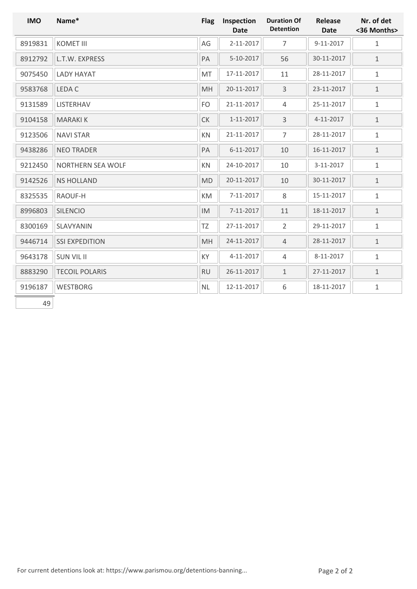| <b>IMO</b> | Name*                    | <b>Flag</b> | Inspection<br><b>Date</b> | <b>Duration Of</b><br><b>Detention</b> | Release<br><b>Date</b> | Nr. of det<br><36 Months> |
|------------|--------------------------|-------------|---------------------------|----------------------------------------|------------------------|---------------------------|
| 8919831    | <b>KOMET III</b>         | AG          | 2-11-2017                 | $\overline{7}$                         | 9-11-2017              | $\,1\,$                   |
| 8912792    | L.T.W. EXPRESS           | PA          | 5-10-2017                 | 56                                     | 30-11-2017             | $1\,$                     |
| 9075450    | <b>LADY HAYAT</b>        | MT          | 17-11-2017                | 11                                     | 28-11-2017             | $\,1\,$                   |
| 9583768    | LEDA C                   | MH          | 20-11-2017                | 3                                      | 23-11-2017             | $\,1\,$                   |
| 9131589    | LISTERHAV                | FO          | 21-11-2017                | $\overline{4}$                         | 25-11-2017             | $\,1\,$                   |
| 9104158    | <b>MARAKIK</b>           | CK          | $1 - 11 - 2017$           | 3                                      | 4-11-2017              | $\,1\,$                   |
| 9123506    | <b>NAVI STAR</b>         | KN          | 21-11-2017                | $\overline{7}$                         | 28-11-2017             | $\,1\,$                   |
| 9438286    | <b>NEO TRADER</b>        | PA          | $6 - 11 - 2017$           | 10                                     | 16-11-2017             | $\,1\,$                   |
| 9212450    | <b>NORTHERN SEA WOLF</b> | KN          | 24-10-2017                | 10                                     | 3-11-2017              | $\,1\,$                   |
| 9142526    | <b>NS HOLLAND</b>        | <b>MD</b>   | 20-11-2017                | 10                                     | 30-11-2017             | $\,1\,$                   |
| 8325535    | RAOUF-H                  | KM          | 7-11-2017                 | 8                                      | 15-11-2017             | $1\,$                     |
| 8996803    | <b>SILENCIO</b>          | IM          | $7 - 11 - 2017$           | 11                                     | 18-11-2017             | $\,1\,$                   |
| 8300169    | SLAVYANIN                | <b>TZ</b>   | 27-11-2017                | $\overline{2}$                         | 29-11-2017             | $\mathbf 1$               |
| 9446714    | <b>SSI EXPEDITION</b>    | MH          | 24-11-2017                | $\overline{4}$                         | 28-11-2017             | $\,1\,$                   |
| 9643178    | <b>SUN VIL II</b>        | KY          | 4-11-2017                 | $\overline{4}$                         | 8-11-2017              | $1\,$                     |
| 8883290    | <b>TECOIL POLARIS</b>    | <b>RU</b>   | 26-11-2017                | $1\,$                                  | 27-11-2017             | $\,1\,$                   |
| 9196187    | <b>WESTBORG</b>          | NL          | 12-11-2017                | 6                                      | 18-11-2017             | $\mathbf 1$               |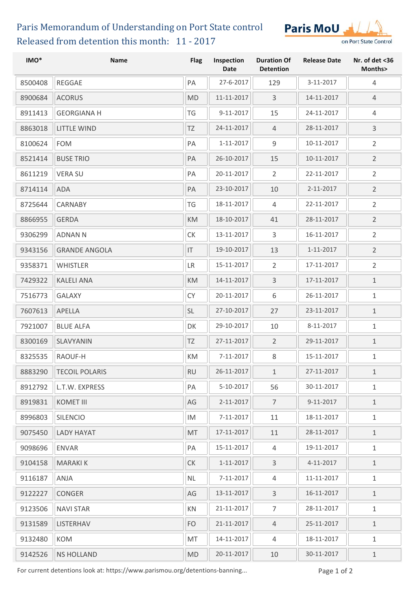# Released from detention this month: 11 - 2017 Paris Memorandum of Understanding on Port State control



| IMO*    | <b>Name</b>           | <b>Flag</b>      | Inspection<br><b>Date</b> | <b>Duration Of</b><br><b>Detention</b> | <b>Release Date</b> | Nr. of det <36<br>Months> |
|---------|-----------------------|------------------|---------------------------|----------------------------------------|---------------------|---------------------------|
| 8500408 | <b>REGGAE</b>         | PA               | 27-6-2017                 | 129                                    | 3-11-2017           | $\overline{4}$            |
| 8900684 | <b>ACORUS</b>         | <b>MD</b>        | 11-11-2017                | 3                                      | 14-11-2017          | 4                         |
| 8911413 | <b>GEORGIANA H</b>    | TG               | 9-11-2017                 | 15                                     | 24-11-2017          | $\overline{4}$            |
| 8863018 | <b>LITTLE WIND</b>    | TZ               | 24-11-2017                | $\overline{4}$                         | 28-11-2017          | 3                         |
| 8100624 | <b>FOM</b>            | PA               | 1-11-2017                 | $9\,$                                  | 10-11-2017          | $\overline{2}$            |
| 8521414 | <b>BUSE TRIO</b>      | PA               | 26-10-2017                | 15                                     | 10-11-2017          | $\overline{2}$            |
| 8611219 | <b>VERA SU</b>        | PA               | 20-11-2017                | 2                                      | 22-11-2017          | $\overline{2}$            |
| 8714114 | <b>ADA</b>            | PA               | 23-10-2017                | 10                                     | 2-11-2017           | $\overline{2}$            |
| 8725644 | <b>CARNABY</b>        | TG               | 18-11-2017                | $\overline{4}$                         | 22-11-2017          | $\overline{2}$            |
| 8866955 | <b>GERDA</b>          | KM               | 18-10-2017                | 41                                     | 28-11-2017          | $\overline{2}$            |
| 9306299 | <b>ADNAN N</b>        | ${\sf C}{\sf K}$ | 13-11-2017                | 3                                      | 16-11-2017          | $\overline{2}$            |
| 9343156 | <b>GRANDE ANGOLA</b>  | IT               | 19-10-2017                | 13                                     | 1-11-2017           | $\overline{2}$            |
| 9358371 | <b>WHISTLER</b>       | <b>LR</b>        | 15-11-2017                | $\overline{2}$                         | 17-11-2017          | $\overline{2}$            |
| 7429322 | <b>KALELI ANA</b>     | KM               | 14-11-2017                | $\overline{3}$                         | 17-11-2017          | $\,1\,$                   |
| 7516773 | <b>GALAXY</b>         | <b>CY</b>        | 20-11-2017                | 6                                      | 26-11-2017          | $\mathbf{1}$              |
| 7607613 | APELLA                | SL               | 27-10-2017                | 27                                     | 23-11-2017          | $1\,$                     |
| 7921007 | <b>BLUE ALFA</b>      | DK               | 29-10-2017                | 10                                     | 8-11-2017           | $1\,$                     |
| 8300169 | SLAVYANIN             | TZ               | 27-11-2017                | $\overline{2}$                         | 29-11-2017          | $\mathbf 1$               |
| 8325535 | RAOUF-H               | KM               | 7-11-2017                 | 8                                      | 15-11-2017          | $1\,$                     |
| 8883290 | <b>TECOIL POLARIS</b> | <b>RU</b>        | $26 - 11 - 2017$          | $\mathbf{1}$                           | 27-11-2017          | $\mathbf{1}$              |
| 8912792 | L.T.W. EXPRESS        | PA               | 5-10-2017                 | 56                                     | 30-11-2017          | $\mathbf{1}$              |
| 8919831 | <b>KOMET III</b>      | AG               | 2-11-2017                 | $\overline{7}$                         | 9-11-2017           | $\mathbf 1$               |
| 8996803 | <b>SILENCIO</b>       | IM               | 7-11-2017                 | 11                                     | 18-11-2017          | $\mathbf{1}$              |
| 9075450 | <b>LADY HAYAT</b>     | MT               | 17-11-2017                | 11                                     | 28-11-2017          | $\mathbf 1$               |
| 9098696 | <b>ENVAR</b>          | PA               | 15-11-2017                | $\overline{4}$                         | 19-11-2017          | $\mathbf{1}$              |
| 9104158 | <b>MARAKI K</b>       | <b>CK</b>        | 1-11-2017                 | 3                                      | 4-11-2017           | $\mathbf 1$               |
| 9116187 | ANJA                  | <b>NL</b>        | 7-11-2017                 | $\overline{4}$                         | 11-11-2017          | $\mathbf{1}$              |
| 9122227 | <b>CONGER</b>         | AG               | 13-11-2017                | 3                                      | 16-11-2017          | $\mathbf{1}$              |
| 9123506 | <b>NAVI STAR</b>      | KN               | 21-11-2017                | $\overline{7}$                         | 28-11-2017          | $\mathbf{1}$              |
| 9131589 | <b>LISTERHAV</b>      | FO               | 21-11-2017                | $\overline{4}$                         | 25-11-2017          | $1\,$                     |
| 9132480 | <b>KOM</b>            | MT               | 14-11-2017                | 4                                      | 18-11-2017          | $\mathbf{1}$              |
| 9142526 | <b>NS HOLLAND</b>     | <b>MD</b>        | 20-11-2017                | 10                                     | 30-11-2017          | $1\,$                     |

For current detentions look at: https://www.parismou.org/detentions-banning... Page 1 of 2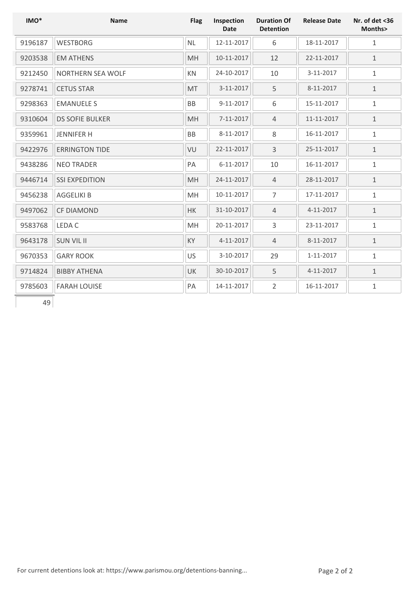| IMO*    | <b>Name</b>            | <b>Flag</b> | Inspection<br><b>Date</b> | <b>Duration Of</b><br><b>Detention</b> | <b>Release Date</b> | Nr. of det <36<br>Months> |
|---------|------------------------|-------------|---------------------------|----------------------------------------|---------------------|---------------------------|
| 9196187 | <b>WESTBORG</b>        | <b>NL</b>   | 12-11-2017                | 6                                      | 18-11-2017          | 1                         |
| 9203538 | <b>EM ATHENS</b>       | MH          | 10-11-2017                | 12                                     | 22-11-2017          | $\mathbf{1}$              |
| 9212450 | NORTHERN SEA WOLF      | KN          | 24-10-2017                | 10                                     | 3-11-2017           | $\mathbf{1}$              |
| 9278741 | <b>CETUS STAR</b>      | MT          | 3-11-2017                 | 5                                      | 8-11-2017           | $\mathbf{1}$              |
| 9298363 | <b>EMANUELE S</b>      | <b>BB</b>   | 9-11-2017                 | 6                                      | 15-11-2017          | $\mathbf{1}$              |
| 9310604 | <b>DS SOFIE BULKER</b> | MH          | 7-11-2017                 | $\overline{4}$                         | 11-11-2017          | $\mathbf{1}$              |
| 9359961 | <b>JENNIFER H</b>      | <b>BB</b>   | 8-11-2017                 | 8                                      | 16-11-2017          | $\mathbf{1}$              |
| 9422976 | <b>ERRINGTON TIDE</b>  | VU          | 22-11-2017                | $\overline{3}$                         | 25-11-2017          | $1\,$                     |
| 9438286 | <b>NEO TRADER</b>      | PA          | 6-11-2017                 | 10                                     | 16-11-2017          | $\mathbf{1}$              |
| 9446714 | <b>SSI EXPEDITION</b>  | MH          | 24-11-2017                | $\overline{4}$                         | 28-11-2017          | $\mathbf{1}$              |
| 9456238 | <b>AGGELIKI B</b>      | MH          | 10-11-2017                | $\overline{7}$                         | 17-11-2017          | $\mathbf{1}$              |
| 9497062 | <b>CF DIAMOND</b>      | HK          | 31-10-2017                | $\overline{4}$                         | 4-11-2017           | $\mathbf{1}$              |
| 9583768 | LEDA C                 | MH          | 20-11-2017                | 3                                      | 23-11-2017          | $\mathbf{1}$              |
| 9643178 | <b>SUN VIL II</b>      | KY          | 4-11-2017                 | $\overline{4}$                         | 8-11-2017           | $\mathbf{1}$              |
| 9670353 | <b>GARY ROOK</b>       | US          | 3-10-2017                 | 29                                     | 1-11-2017           | $\mathbf{1}$              |
| 9714824 | <b>BIBBY ATHENA</b>    | UK          | 30-10-2017                | 5                                      | 4-11-2017           | $\mathbf{1}$              |
| 9785603 | <b>FARAH LOUISE</b>    | PA          | 14-11-2017                | $\overline{2}$                         | 16-11-2017          | $\mathbf{1}$              |
| 49      |                        |             |                           |                                        |                     |                           |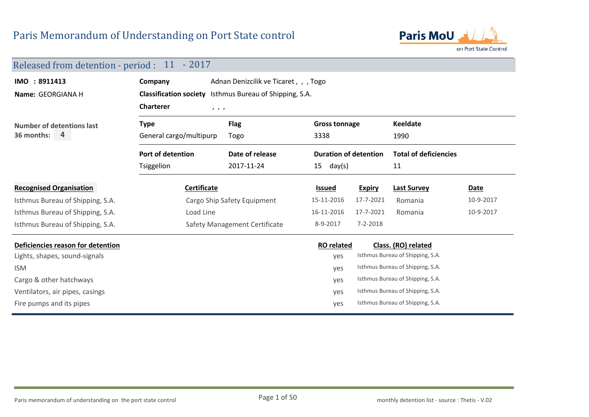

### Released from detention - period : 11 - 2017

| IMO : 8911413<br>Name: GEORGIANA H | Adnan Denizcilik ve Ticaret, , , Togo<br>Company<br><b>Classification society</b> Isthmus Bureau of Shipping, S.A. |                               |                              |               |                                  |           |  |  |
|------------------------------------|--------------------------------------------------------------------------------------------------------------------|-------------------------------|------------------------------|---------------|----------------------------------|-----------|--|--|
|                                    | <b>Charterer</b>                                                                                                   | 1, 1, 1                       |                              |               |                                  |           |  |  |
| Number of detentions last          | <b>Type</b>                                                                                                        | <b>Flag</b>                   | <b>Gross tonnage</b>         |               | <b>Keeldate</b>                  |           |  |  |
| 36 months:<br>4                    | General cargo/multipurp<br>Togo                                                                                    |                               | 3338                         |               | 1990                             |           |  |  |
|                                    | <b>Port of detention</b>                                                                                           | Date of release               | <b>Duration of detention</b> |               | <b>Total of deficiencies</b>     |           |  |  |
|                                    | Tsiggelion                                                                                                         | 2017-11-24                    | $15$ day(s)                  |               | 11                               |           |  |  |
| <b>Recognised Organisation</b>     | Certificate                                                                                                        |                               | <b>Issued</b>                | <b>Expiry</b> | <b>Last Survey</b>               | Date      |  |  |
| Isthmus Bureau of Shipping, S.A.   |                                                                                                                    | Cargo Ship Safety Equipment   | 15-11-2016                   | 17-7-2021     | Romania                          | 10-9-2017 |  |  |
| Isthmus Bureau of Shipping, S.A.   | Load Line                                                                                                          |                               | 16-11-2016                   | 17-7-2021     | Romania                          | 10-9-2017 |  |  |
| Isthmus Bureau of Shipping, S.A.   |                                                                                                                    | Safety Management Certificate | 8-9-2017                     | 7-2-2018      |                                  |           |  |  |
| Deficiencies reason for detention  |                                                                                                                    |                               | <b>RO</b> related            |               | Class. (RO) related              |           |  |  |
| Lights, shapes, sound-signals      |                                                                                                                    |                               | yes                          |               | Isthmus Bureau of Shipping, S.A. |           |  |  |
| <b>ISM</b>                         |                                                                                                                    |                               | yes                          |               | Isthmus Bureau of Shipping, S.A. |           |  |  |
| Cargo & other hatchways            |                                                                                                                    |                               | yes                          |               | Isthmus Bureau of Shipping, S.A. |           |  |  |
| Ventilators, air pipes, casings    |                                                                                                                    |                               | yes                          |               | Isthmus Bureau of Shipping, S.A. |           |  |  |
| Fire pumps and its pipes           |                                                                                                                    |                               | yes                          |               | Isthmus Bureau of Shipping, S.A. |           |  |  |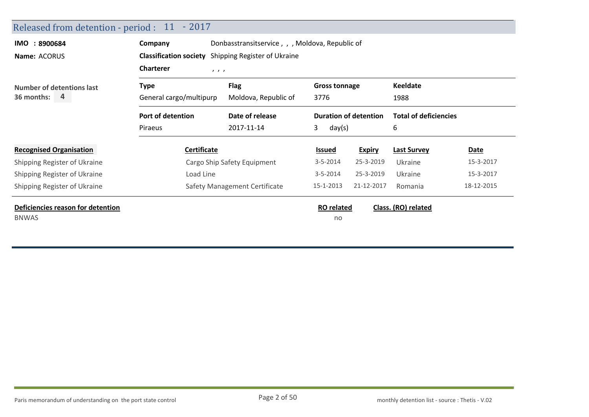| IMO : 8900684<br>Name: ACORUS                     | Donbasstransitservice, , , Moldova, Republic of<br>Company<br><b>Classification society</b> Shipping Register of Ukraine<br><b>Charterer</b><br>$\mathbf{1}$ $\mathbf{1}$ |                                     |                              |                              |                                   |             |  |
|---------------------------------------------------|---------------------------------------------------------------------------------------------------------------------------------------------------------------------------|-------------------------------------|------------------------------|------------------------------|-----------------------------------|-------------|--|
| <b>Number of detentions last</b><br>36 months: 4  | <b>Type</b><br>General cargo/multipurp                                                                                                                                    | <b>Flag</b><br>Moldova, Republic of | <b>Gross tonnage</b><br>3776 |                              | <b>Keeldate</b><br>1988           |             |  |
|                                                   | Port of detention<br>Piraeus                                                                                                                                              | Date of release<br>2017-11-14       | 3<br>day(s)                  | <b>Duration of detention</b> | <b>Total of deficiencies</b><br>6 |             |  |
| <b>Recognised Organisation</b>                    | Certificate                                                                                                                                                               |                                     | <b>Issued</b>                | <b>Expiry</b>                | <b>Last Survey</b>                | <b>Date</b> |  |
| Shipping Register of Ukraine                      |                                                                                                                                                                           | Cargo Ship Safety Equipment         | $3 - 5 - 2014$               | 25-3-2019                    | Ukraine                           | 15-3-2017   |  |
| Shipping Register of Ukraine                      | Load Line                                                                                                                                                                 |                                     | $3 - 5 - 2014$               | 25-3-2019                    | Ukraine                           | 15-3-2017   |  |
| Shipping Register of Ukraine                      |                                                                                                                                                                           | Safety Management Certificate       | 15-1-2013                    | 21-12-2017                   | Romania                           | 18-12-2015  |  |
| Deficiencies reason for detention<br><b>BNWAS</b> |                                                                                                                                                                           |                                     | <b>RO</b> related<br>no      |                              | Class. (RO) related               |             |  |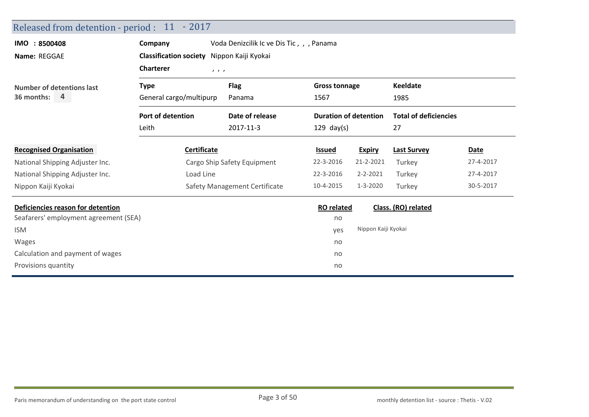| Released from detention - period : 11 - 2017 |                 |                                                                                                                                                              |                                           |                                                                           |                                                                            |
|----------------------------------------------|-----------------|--------------------------------------------------------------------------------------------------------------------------------------------------------------|-------------------------------------------|---------------------------------------------------------------------------|----------------------------------------------------------------------------|
| Company                                      |                 |                                                                                                                                                              |                                           |                                                                           |                                                                            |
| <b>Classification society</b>                |                 |                                                                                                                                                              |                                           |                                                                           |                                                                            |
| <b>Charterer</b>                             |                 |                                                                                                                                                              |                                           |                                                                           |                                                                            |
| <b>Type</b>                                  | <b>Flag</b>     |                                                                                                                                                              |                                           | <b>Keeldate</b>                                                           |                                                                            |
|                                              | Panama          | 1567                                                                                                                                                         |                                           | 1985                                                                      |                                                                            |
| Port of detention                            | Date of release |                                                                                                                                                              |                                           |                                                                           |                                                                            |
| Leith                                        | 2017-11-3       | $129$ day(s)                                                                                                                                                 |                                           | 27                                                                        |                                                                            |
|                                              |                 | <b>Issued</b>                                                                                                                                                | <b>Expiry</b>                             | <b>Last Survey</b>                                                        | Date                                                                       |
|                                              |                 | 22-3-2016                                                                                                                                                    | 21-2-2021                                 | Turkey                                                                    | 27-4-2017                                                                  |
|                                              |                 | 22-3-2016                                                                                                                                                    | $2 - 2 - 2021$                            | Turkey                                                                    | 27-4-2017                                                                  |
|                                              |                 | 10-4-2015                                                                                                                                                    | 1-3-2020                                  | Turkey                                                                    | 30-5-2017                                                                  |
|                                              |                 |                                                                                                                                                              |                                           |                                                                           |                                                                            |
| Seafarers' employment agreement (SEA)        |                 | no                                                                                                                                                           |                                           |                                                                           |                                                                            |
|                                              |                 | yes                                                                                                                                                          |                                           |                                                                           |                                                                            |
|                                              |                 | no                                                                                                                                                           |                                           |                                                                           |                                                                            |
|                                              |                 | no                                                                                                                                                           |                                           |                                                                           |                                                                            |
|                                              |                 | no                                                                                                                                                           |                                           |                                                                           |                                                                            |
|                                              |                 | Nippon Kaiji Kyokai<br>1, 1, 1<br>General cargo/multipurp<br><b>Certificate</b><br>Cargo Ship Safety Equipment<br>Load Line<br>Safety Management Certificate | Voda Denizcilik Ic ve Dis Tic, , , Panama | <b>Gross tonnage</b><br><b>Duration of detention</b><br><b>RO</b> related | <b>Total of deficiencies</b><br>Class. (RO) related<br>Nippon Kaiji Kyokai |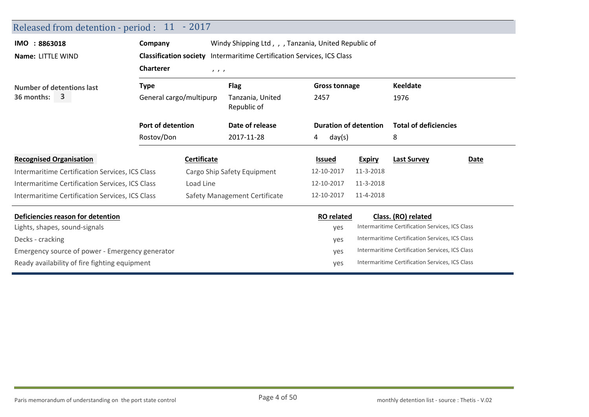| Released from detention - period : 11 - 2017    |                                                                               |             |                                                      |      |                   |                              |                                                 |             |
|-------------------------------------------------|-------------------------------------------------------------------------------|-------------|------------------------------------------------------|------|-------------------|------------------------------|-------------------------------------------------|-------------|
| IMO: 8863018                                    | Company                                                                       |             | Windy Shipping Ltd, , , Tanzania, United Republic of |      |                   |                              |                                                 |             |
| Name: LITTLE WIND                               | <b>Classification society</b> Intermaritime Certification Services, ICS Class |             |                                                      |      |                   |                              |                                                 |             |
|                                                 | <b>Charterer</b><br>1, 1, 1                                                   |             |                                                      |      |                   |                              |                                                 |             |
| <b>Number of detentions last</b>                | <b>Type</b><br>General cargo/multipurp                                        |             | <b>Flag</b><br><b>Gross tonnage</b>                  |      |                   | Keeldate                     |                                                 |             |
| 36 months:<br>3                                 |                                                                               |             | Tanzania, United<br>Republic of                      | 2457 |                   | 1976                         |                                                 |             |
|                                                 | Port of detention                                                             |             | Date of release                                      |      |                   | <b>Duration of detention</b> | <b>Total of deficiencies</b>                    |             |
|                                                 | Rostov/Don                                                                    |             | 2017-11-28                                           | 4    | day(s)            |                              | 8                                               |             |
| <b>Recognised Organisation</b>                  |                                                                               | Certificate |                                                      |      | <b>Issued</b>     | <b>Expiry</b>                | <b>Last Survey</b>                              | <b>Date</b> |
| Intermaritime Certification Services, ICS Class |                                                                               |             | Cargo Ship Safety Equipment                          |      | 12-10-2017        | 11-3-2018                    |                                                 |             |
| Intermaritime Certification Services, ICS Class |                                                                               | Load Line   |                                                      |      | 12-10-2017        | 11-3-2018                    |                                                 |             |
| Intermaritime Certification Services, ICS Class |                                                                               |             | Safety Management Certificate                        |      | 12-10-2017        | 11-4-2018                    |                                                 |             |
| Deficiencies reason for detention               |                                                                               |             |                                                      |      | <b>RO</b> related |                              | Class. (RO) related                             |             |
| Lights, shapes, sound-signals                   |                                                                               |             |                                                      |      | yes               |                              | Intermaritime Certification Services, ICS Class |             |
| Decks - cracking                                |                                                                               |             |                                                      |      | yes               |                              | Intermaritime Certification Services, ICS Class |             |
| Emergency source of power - Emergency generator |                                                                               |             |                                                      |      | yes               |                              | Intermaritime Certification Services, ICS Class |             |
| Ready availability of fire fighting equipment   |                                                                               |             |                                                      |      | yes               |                              | Intermaritime Certification Services, ICS Class |             |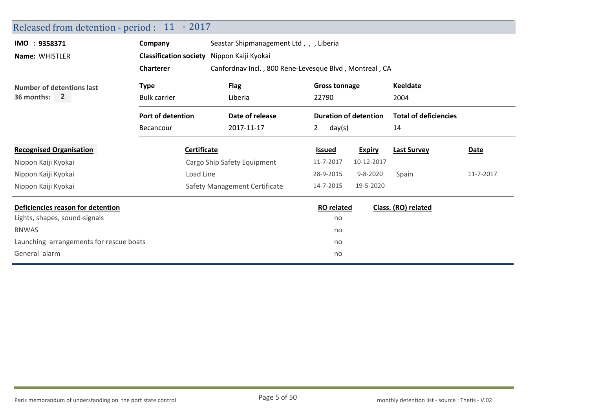| Released from detention - period : 11 - 2017 |                               |                                         |                                                        |                              |                              |           |  |  |  |  |
|----------------------------------------------|-------------------------------|-----------------------------------------|--------------------------------------------------------|------------------------------|------------------------------|-----------|--|--|--|--|
| IMO : 9358371                                | Company                       | Seastar Shipmanagement Ltd,, J. Liberia |                                                        |                              |                              |           |  |  |  |  |
| Name: WHISTLER                               | <b>Classification society</b> | Nippon Kaiji Kyokai                     |                                                        |                              |                              |           |  |  |  |  |
|                                              | <b>Charterer</b>              |                                         | Canfordnav Incl., 800 Rene-Levesque Blvd, Montreal, CA |                              |                              |           |  |  |  |  |
| Number of detentions last                    | <b>Type</b>                   | <b>Flag</b>                             | <b>Gross tonnage</b>                                   |                              | <b>Keeldate</b>              |           |  |  |  |  |
| 36 months:<br><b>2</b>                       | <b>Bulk carrier</b>           | Liberia                                 | 22790                                                  |                              | 2004                         |           |  |  |  |  |
|                                              | Port of detention             | Date of release                         |                                                        | <b>Duration of detention</b> | <b>Total of deficiencies</b> |           |  |  |  |  |
|                                              | Becancour                     | 2017-11-17                              | 2<br>day(s)                                            |                              | 14                           |           |  |  |  |  |
| <b>Recognised Organisation</b>               | <b>Certificate</b>            |                                         | <b>Issued</b>                                          | <b>Expiry</b>                | <b>Last Survey</b>           | Date      |  |  |  |  |
| Nippon Kaiji Kyokai                          |                               | Cargo Ship Safety Equipment             | 11-7-2017                                              | 10-12-2017                   |                              |           |  |  |  |  |
| Nippon Kaiji Kyokai                          | Load Line                     |                                         | 28-9-2015                                              | $9 - 8 - 2020$               | Spain                        | 11-7-2017 |  |  |  |  |
| Nippon Kaiji Kyokai                          |                               | Safety Management Certificate           | 14-7-2015                                              | 19-5-2020                    |                              |           |  |  |  |  |
| Deficiencies reason for detention            |                               |                                         | <b>RO</b> related                                      |                              | Class. (RO) related          |           |  |  |  |  |
| Lights, shapes, sound-signals                |                               |                                         | no                                                     |                              |                              |           |  |  |  |  |
| <b>BNWAS</b>                                 |                               |                                         | no                                                     |                              |                              |           |  |  |  |  |
| Launching arrangements for rescue boats      |                               |                                         | no                                                     |                              |                              |           |  |  |  |  |
| General alarm                                |                               |                                         | no                                                     |                              |                              |           |  |  |  |  |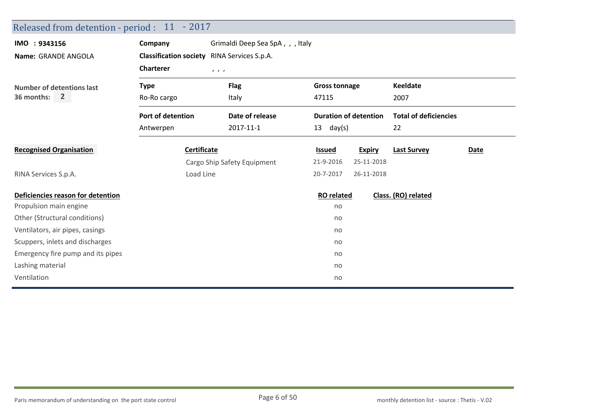| Released from detention - period : 11 - 2017 |                    |                                                    |                              |               |                              |      |
|----------------------------------------------|--------------------|----------------------------------------------------|------------------------------|---------------|------------------------------|------|
| IMO : 9343156                                | Company            | Grimaldi Deep Sea SpA, , , Italy                   |                              |               |                              |      |
| Name: GRANDE ANGOLA                          |                    | <b>Classification society</b> RINA Services S.p.A. |                              |               |                              |      |
|                                              | <b>Charterer</b>   | 1, 1, 1                                            |                              |               |                              |      |
| <b>Number of detentions last</b>             | <b>Type</b>        | <b>Flag</b>                                        | <b>Gross tonnage</b>         |               | <b>Keeldate</b>              |      |
| $\overline{2}$<br>36 months:                 | Ro-Ro cargo        | Italy                                              | 47115                        |               | 2007                         |      |
|                                              | Port of detention  | Date of release                                    | <b>Duration of detention</b> |               | <b>Total of deficiencies</b> |      |
|                                              | Antwerpen          | 2017-11-1                                          | $13 \text{ day(s)}$          |               | 22                           |      |
| <b>Recognised Organisation</b>               | <b>Certificate</b> |                                                    | <b>Issued</b>                | <b>Expiry</b> | <b>Last Survey</b>           | Date |
|                                              |                    | Cargo Ship Safety Equipment                        | 21-9-2016                    | 25-11-2018    |                              |      |
| RINA Services S.p.A.                         | Load Line          |                                                    | 20-7-2017                    | 26-11-2018    |                              |      |
| Deficiencies reason for detention            |                    |                                                    | <b>RO</b> related            |               | Class. (RO) related          |      |
| Propulsion main engine                       |                    |                                                    | no                           |               |                              |      |
| Other (Structural conditions)                |                    |                                                    | no                           |               |                              |      |
| Ventilators, air pipes, casings              |                    |                                                    | no                           |               |                              |      |
| Scuppers, inlets and discharges              |                    |                                                    | no                           |               |                              |      |
| Emergency fire pump and its pipes            |                    |                                                    | no                           |               |                              |      |
| Lashing material                             |                    |                                                    | no                           |               |                              |      |
| Ventilation                                  |                    |                                                    | no                           |               |                              |      |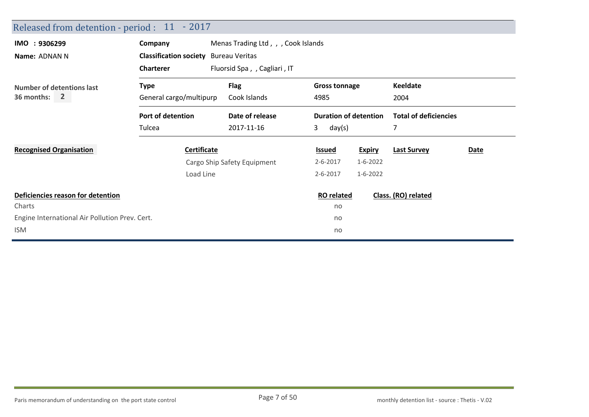| Released from detention - period : 11 - 2017   |                                              |                                     |                              |                |                              |             |
|------------------------------------------------|----------------------------------------------|-------------------------------------|------------------------------|----------------|------------------------------|-------------|
| IMO : 9306299                                  | Company                                      | Menas Trading Ltd, , , Cook Islands |                              |                |                              |             |
| Name: ADNAN N                                  | <b>Classification society</b> Bureau Veritas |                                     |                              |                |                              |             |
|                                                | <b>Charterer</b>                             | Fluorsid Spa, , Cagliari, IT        |                              |                |                              |             |
| <b>Number of detentions last</b>               | <b>Type</b>                                  | <b>Flag</b>                         | <b>Gross tonnage</b>         |                | <b>Keeldate</b>              |             |
| 36 months: 2                                   | General cargo/multipurp                      | Cook Islands                        | 4985                         |                | 2004                         |             |
|                                                | Port of detention                            | Date of release                     | <b>Duration of detention</b> |                | <b>Total of deficiencies</b> |             |
|                                                | Tulcea                                       | 2017-11-16                          | 3<br>day(s)                  |                | 7                            |             |
| <b>Recognised Organisation</b>                 | <b>Certificate</b>                           |                                     | <b>Issued</b>                | <b>Expiry</b>  | <b>Last Survey</b>           | <b>Date</b> |
|                                                |                                              | Cargo Ship Safety Equipment         | $2 - 6 - 2017$               | $1 - 6 - 2022$ |                              |             |
|                                                | Load Line                                    |                                     | $2 - 6 - 2017$               | $1 - 6 - 2022$ |                              |             |
| Deficiencies reason for detention              |                                              |                                     | <b>RO</b> related            |                | Class. (RO) related          |             |
| Charts                                         |                                              |                                     | no                           |                |                              |             |
| Engine International Air Pollution Prev. Cert. |                                              |                                     | no                           |                |                              |             |
| <b>ISM</b>                                     |                                              |                                     | no                           |                |                              |             |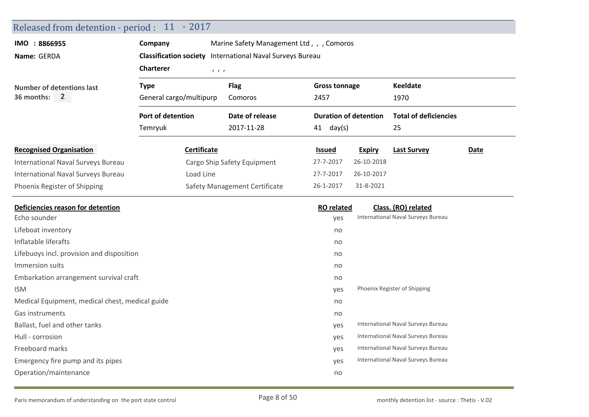| Released from detention - period : 11 - 2017    |                                                           |                                          |                              |               |                                    |      |  |  |  |
|-------------------------------------------------|-----------------------------------------------------------|------------------------------------------|------------------------------|---------------|------------------------------------|------|--|--|--|
| IMO : 8866955                                   | Company                                                   | Marine Safety Management Ltd,, , Comoros |                              |               |                                    |      |  |  |  |
| Name: GERDA                                     | Classification society International Naval Surveys Bureau |                                          |                              |               |                                    |      |  |  |  |
|                                                 | <b>Charterer</b><br>1, 1, 1                               |                                          |                              |               |                                    |      |  |  |  |
| <b>Number of detentions last</b>                | <b>Type</b>                                               | <b>Flag</b>                              | <b>Gross tonnage</b>         |               | <b>Keeldate</b>                    |      |  |  |  |
| $\overline{2}$<br>36 months:                    | General cargo/multipurp                                   | Comoros                                  | 2457                         |               | 1970                               |      |  |  |  |
|                                                 | <b>Port of detention</b>                                  | Date of release                          | <b>Duration of detention</b> |               | <b>Total of deficiencies</b>       |      |  |  |  |
|                                                 | Temryuk                                                   | 2017-11-28                               | $41$ day(s)                  |               | 25                                 |      |  |  |  |
| <b>Recognised Organisation</b>                  | <b>Certificate</b>                                        |                                          | <u>Issued</u>                | <b>Expiry</b> | <b>Last Survey</b>                 | Date |  |  |  |
| <b>International Naval Surveys Bureau</b>       |                                                           | Cargo Ship Safety Equipment              | 27-7-2017                    | 26-10-2018    |                                    |      |  |  |  |
| International Naval Surveys Bureau              | Load Line                                                 |                                          | 27-7-2017                    | 26-10-2017    |                                    |      |  |  |  |
| Phoenix Register of Shipping                    |                                                           | Safety Management Certificate            | 26-1-2017                    | 31-8-2021     |                                    |      |  |  |  |
| Deficiencies reason for detention               |                                                           |                                          | <b>RO</b> related            |               | Class. (RO) related                |      |  |  |  |
| Echo sounder                                    |                                                           |                                          | yes                          |               | International Naval Surveys Bureau |      |  |  |  |
| Lifeboat inventory                              |                                                           |                                          | no                           |               |                                    |      |  |  |  |
| Inflatable liferafts                            |                                                           |                                          | no                           |               |                                    |      |  |  |  |
| Lifebuoys incl. provision and disposition       |                                                           |                                          | no                           |               |                                    |      |  |  |  |
| Immersion suits                                 |                                                           |                                          | no                           |               |                                    |      |  |  |  |
| Embarkation arrangement survival craft          |                                                           |                                          | no                           |               |                                    |      |  |  |  |
| <b>ISM</b>                                      |                                                           |                                          | yes                          |               | Phoenix Register of Shipping       |      |  |  |  |
| Medical Equipment, medical chest, medical guide |                                                           |                                          | no                           |               |                                    |      |  |  |  |
| Gas instruments                                 |                                                           |                                          | no                           |               |                                    |      |  |  |  |
| Ballast, fuel and other tanks                   |                                                           |                                          | yes                          |               | International Naval Surveys Bureau |      |  |  |  |
| Hull - corrosion                                |                                                           |                                          | yes                          |               | International Naval Surveys Bureau |      |  |  |  |
| Freeboard marks                                 |                                                           |                                          | yes                          |               | International Naval Surveys Bureau |      |  |  |  |
| Emergency fire pump and its pipes               |                                                           |                                          | yes                          |               | International Naval Surveys Bureau |      |  |  |  |
| Operation/maintenance                           |                                                           |                                          | no                           |               |                                    |      |  |  |  |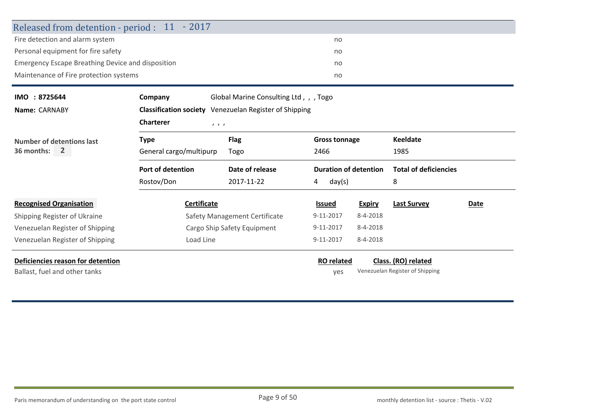| Released from detention - period : 11 - 2017             |                         |                                                               |                              |               |                                 |      |  |  |
|----------------------------------------------------------|-------------------------|---------------------------------------------------------------|------------------------------|---------------|---------------------------------|------|--|--|
| Fire detection and alarm system                          |                         |                                                               | no                           |               |                                 |      |  |  |
| Personal equipment for fire safety                       |                         |                                                               | no                           | no            |                                 |      |  |  |
| <b>Emergency Escape Breathing Device and disposition</b> |                         |                                                               |                              |               |                                 |      |  |  |
| Maintenance of Fire protection systems                   |                         |                                                               | no                           |               |                                 |      |  |  |
| IMO: 8725644                                             | Company                 | Global Marine Consulting Ltd,, , Togo                         |                              |               |                                 |      |  |  |
| Name: CARNABY                                            |                         | <b>Classification society</b> Venezuelan Register of Shipping |                              |               |                                 |      |  |  |
|                                                          | <b>Charterer</b>        | 1, 1, 1                                                       |                              |               |                                 |      |  |  |
| Number of detentions last                                | <b>Type</b>             | <b>Flag</b>                                                   | <b>Gross tonnage</b>         |               | Keeldate                        |      |  |  |
| 36 months:<br>$\overline{2}$                             | General cargo/multipurp | Togo                                                          | 2466                         |               | 1985                            |      |  |  |
|                                                          | Port of detention       | Date of release                                               | <b>Duration of detention</b> |               | <b>Total of deficiencies</b>    |      |  |  |
|                                                          | Rostov/Don              | 2017-11-22                                                    | 4<br>day(s)                  |               | 8                               |      |  |  |
| <b>Recognised Organisation</b>                           | <b>Certificate</b>      |                                                               | <b>Issued</b>                | <b>Expiry</b> | <b>Last Survey</b>              | Date |  |  |
| Shipping Register of Ukraine                             |                         | Safety Management Certificate                                 | 9-11-2017                    | 8-4-2018      |                                 |      |  |  |
| Venezuelan Register of Shipping                          |                         | Cargo Ship Safety Equipment                                   | 9-11-2017                    | 8-4-2018      |                                 |      |  |  |
| Venezuelan Register of Shipping                          | Load Line               |                                                               | 9-11-2017                    | 8-4-2018      |                                 |      |  |  |
| Deficiencies reason for detention                        |                         |                                                               | <b>RO</b> related            |               | Class. (RO) related             |      |  |  |
| Ballast, fuel and other tanks                            |                         |                                                               | ves                          |               | Venezuelan Register of Shipping |      |  |  |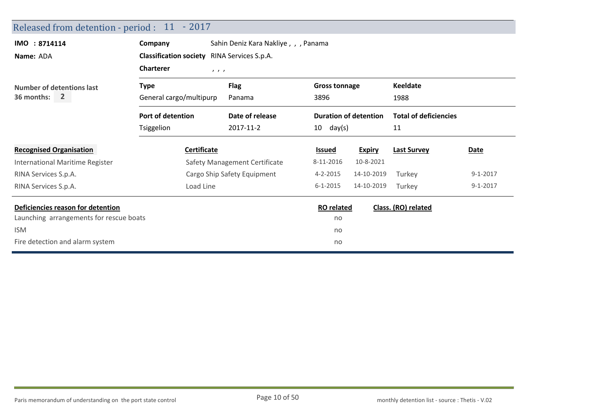| Released from detention - period : 11 - 2017 |                                                    |                                      |                      |                              |                              |                |
|----------------------------------------------|----------------------------------------------------|--------------------------------------|----------------------|------------------------------|------------------------------|----------------|
| IMO : 8714114                                | Company                                            | Sahin Deniz Kara Nakliye, , , Panama |                      |                              |                              |                |
| Name: ADA                                    | <b>Classification society</b> RINA Services S.p.A. |                                      |                      |                              |                              |                |
|                                              | <b>Charterer</b><br>1, 1, 1                        |                                      |                      |                              |                              |                |
| Number of detentions last                    | <b>Type</b>                                        | <b>Flag</b>                          | <b>Gross tonnage</b> |                              | <b>Keeldate</b>              |                |
| 36 months: 2                                 | General cargo/multipurp                            | Panama                               | 3896                 |                              | 1988                         |                |
|                                              | Port of detention                                  | Date of release                      |                      | <b>Duration of detention</b> | <b>Total of deficiencies</b> |                |
|                                              | Tsiggelion                                         | 2017-11-2                            | 10<br>day(s)         |                              | 11                           |                |
| <b>Recognised Organisation</b>               | <b>Certificate</b>                                 |                                      | <b>Issued</b>        | <b>Expiry</b>                | <b>Last Survey</b>           | Date           |
| International Maritime Register              |                                                    | Safety Management Certificate        | 8-11-2016            | 10-8-2021                    |                              |                |
| RINA Services S.p.A.                         |                                                    | Cargo Ship Safety Equipment          | 4-2-2015             | 14-10-2019                   | Turkey                       | $9 - 1 - 2017$ |
| RINA Services S.p.A.                         | Load Line                                          |                                      | $6 - 1 - 2015$       | 14-10-2019                   | Turkey                       | $9 - 1 - 2017$ |
| Deficiencies reason for detention            |                                                    |                                      | <b>RO</b> related    |                              | Class. (RO) related          |                |
| Launching arrangements for rescue boats      |                                                    |                                      | no                   |                              |                              |                |
| <b>ISM</b>                                   |                                                    |                                      | no                   |                              |                              |                |
| Fire detection and alarm system              |                                                    |                                      | no                   |                              |                              |                |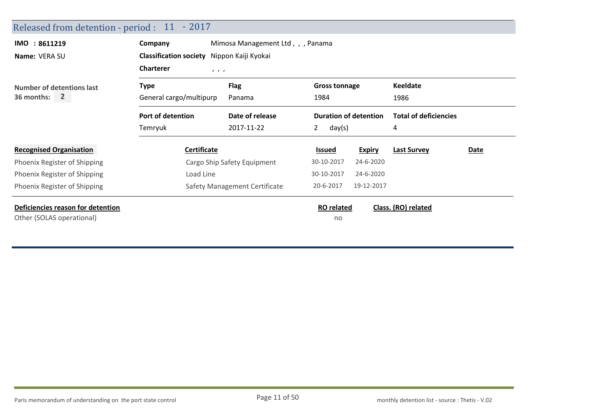| Released from detention - period : 11 - 2017                   |                                            |                                   |                              |               |                              |      |
|----------------------------------------------------------------|--------------------------------------------|-----------------------------------|------------------------------|---------------|------------------------------|------|
| IMO : 8611219                                                  | Company                                    | Mimosa Management Ltd, , , Panama |                              |               |                              |      |
| Name: VERA SU                                                  | Classification society Nippon Kaiji Kyokai |                                   |                              |               |                              |      |
|                                                                | <b>Charterer</b><br>$\qquad \qquad$        |                                   |                              |               |                              |      |
| Number of detentions last                                      | <b>Type</b>                                | <b>Flag</b>                       | <b>Gross tonnage</b>         |               | <b>Keeldate</b>              |      |
| 36 months: 2                                                   | General cargo/multipurp                    | Panama                            | 1984                         |               | 1986                         |      |
|                                                                | Port of detention                          | Date of release                   | <b>Duration of detention</b> |               | <b>Total of deficiencies</b> |      |
|                                                                | Temryuk                                    | 2017-11-22                        | 2<br>day(s)                  |               | 4                            |      |
| <b>Recognised Organisation</b>                                 | Certificate                                |                                   | <b>Issued</b>                | <b>Expiry</b> | <b>Last Survey</b>           | Date |
| Phoenix Register of Shipping                                   |                                            | Cargo Ship Safety Equipment       | 30-10-2017                   | 24-6-2020     |                              |      |
| Phoenix Register of Shipping                                   | Load Line                                  |                                   | 30-10-2017                   | 24-6-2020     |                              |      |
| Phoenix Register of Shipping                                   |                                            | Safety Management Certificate     | 20-6-2017                    | 19-12-2017    |                              |      |
| Deficiencies reason for detention<br>Other (SOLAS operational) |                                            |                                   | <b>RO</b> related<br>no      |               | Class. (RO) related          |      |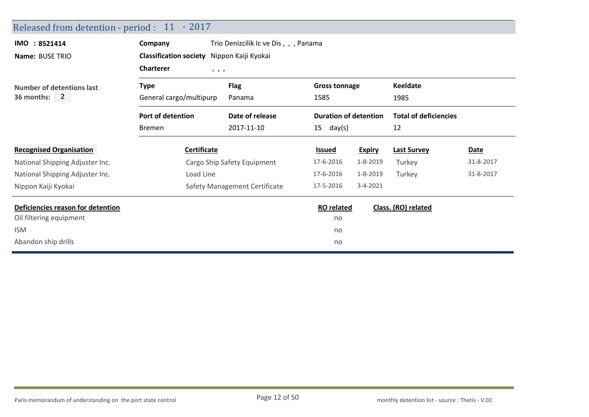| Released from detention - period : 11 - 2017 |                                            |                                       |                              |               |                              |             |
|----------------------------------------------|--------------------------------------------|---------------------------------------|------------------------------|---------------|------------------------------|-------------|
| IMO : 8521414                                | Company                                    | Trio Denizcilik Ic ve Dis, , , Panama |                              |               |                              |             |
| Name: BUSE TRIO                              | Classification society Nippon Kaiji Kyokai |                                       |                              |               |                              |             |
|                                              | <b>Charterer</b><br>1, 1, 1                |                                       |                              |               |                              |             |
| <b>Number of detentions last</b>             | <b>Type</b>                                | <b>Flag</b>                           | <b>Gross tonnage</b>         |               | <b>Keeldate</b>              |             |
| $36$ months: $2$                             | General cargo/multipurp                    | Panama                                | 1585                         |               | 1985                         |             |
|                                              | Port of detention                          | Date of release                       | <b>Duration of detention</b> |               | <b>Total of deficiencies</b> |             |
|                                              | <b>Bremen</b>                              | 2017-11-10                            | 15<br>day(s)                 |               | 12                           |             |
| <b>Recognised Organisation</b>               | <b>Certificate</b>                         |                                       | <b>Issued</b>                | <b>Expiry</b> | <b>Last Survey</b>           | <b>Date</b> |
| National Shipping Adjuster Inc.              |                                            | Cargo Ship Safety Equipment           | 17-6-2016                    | 1-8-2019      | Turkey                       | 31-8-2017   |
| National Shipping Adjuster Inc.              | Load Line                                  |                                       | 17-6-2016                    | 1-8-2019      | Turkey                       | 31-8-2017   |
| Nippon Kaiji Kyokai                          |                                            | Safety Management Certificate         | 17-5-2016                    | 3-4-2021      |                              |             |
| Deficiencies reason for detention            |                                            |                                       | <b>RO</b> related            |               | Class. (RO) related          |             |
| Oil filtering equipment                      |                                            |                                       | no                           |               |                              |             |
| <b>ISM</b>                                   |                                            |                                       | no                           |               |                              |             |
| Abandon ship drills                          |                                            |                                       | no                           |               |                              |             |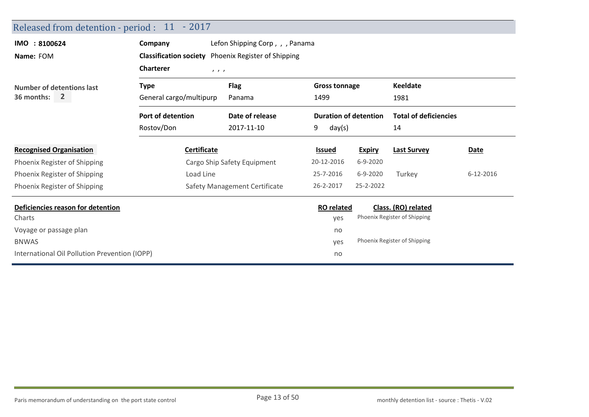| Released from detention - period : 11 - 2017  |                         |                                                            |                              |               |                              |           |  |  |
|-----------------------------------------------|-------------------------|------------------------------------------------------------|------------------------------|---------------|------------------------------|-----------|--|--|
| IMO : 8100624                                 | Company                 | Lefon Shipping Corp,,, Panama                              |                              |               |                              |           |  |  |
| Name: FOM                                     |                         | <b>Classification society</b> Phoenix Register of Shipping |                              |               |                              |           |  |  |
|                                               | <b>Charterer</b>        | 1, 1, 1                                                    |                              |               |                              |           |  |  |
| Number of detentions last                     | <b>Type</b>             | <b>Flag</b>                                                | <b>Gross tonnage</b>         |               | <b>Keeldate</b>              |           |  |  |
| 36 months:<br>$\mathbf{2}$                    | General cargo/multipurp | Panama                                                     | 1499                         |               | 1981                         |           |  |  |
|                                               | Port of detention       | Date of release                                            | <b>Duration of detention</b> |               | <b>Total of deficiencies</b> |           |  |  |
|                                               | Rostov/Don              | 2017-11-10                                                 | 9<br>day(s)                  |               | 14                           |           |  |  |
| <b>Recognised Organisation</b>                | Certificate             |                                                            | <b>Issued</b>                | <b>Expiry</b> | <b>Last Survey</b>           | Date      |  |  |
| Phoenix Register of Shipping                  |                         | Cargo Ship Safety Equipment                                | 20-12-2016                   | 6-9-2020      |                              |           |  |  |
| Phoenix Register of Shipping                  | Load Line               |                                                            | 25-7-2016                    | 6-9-2020      | Turkey                       | 6-12-2016 |  |  |
| Phoenix Register of Shipping                  |                         | Safety Management Certificate                              | 26-2-2017                    | 25-2-2022     |                              |           |  |  |
| Deficiencies reason for detention             |                         |                                                            | <b>RO</b> related            |               | Class. (RO) related          |           |  |  |
| Charts                                        |                         |                                                            | yes                          |               | Phoenix Register of Shipping |           |  |  |
| Voyage or passage plan                        |                         |                                                            | no                           |               |                              |           |  |  |
| <b>BNWAS</b>                                  |                         |                                                            | yes                          |               | Phoenix Register of Shipping |           |  |  |
| International Oil Pollution Prevention (IOPP) |                         |                                                            | no                           |               |                              |           |  |  |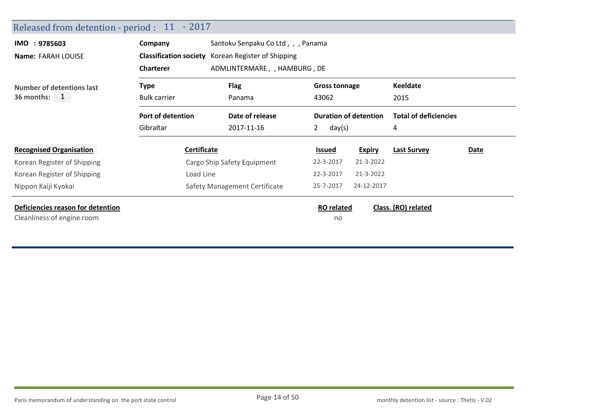| Released from detention - period : 11 - 2017                    |                                                    |                                                    |                                                      |               |                              |      |  |  |
|-----------------------------------------------------------------|----------------------------------------------------|----------------------------------------------------|------------------------------------------------------|---------------|------------------------------|------|--|--|
| IMO : 9785603                                                   | Santoku Senpaku Co Ltd,, , Panama<br>Company       |                                                    |                                                      |               |                              |      |  |  |
| Name: FARAH LOUISE                                              |                                                    | Classification society Korean Register of Shipping |                                                      |               |                              |      |  |  |
|                                                                 | <b>Charterer</b>                                   | ADMLINTERMARE, , HAMBURG, DE                       |                                                      |               |                              |      |  |  |
| <b>Number of detentions last</b>                                | <b>Flag</b><br><b>Type</b><br><b>Gross tonnage</b> |                                                    | <b>Keeldate</b>                                      |               |                              |      |  |  |
| 36 months: $1$                                                  | <b>Bulk carrier</b>                                | Panama                                             | 43062<br><b>Duration of detention</b><br>2<br>day(s) |               | 2015                         |      |  |  |
|                                                                 | Port of detention                                  | Date of release                                    |                                                      |               | <b>Total of deficiencies</b> |      |  |  |
|                                                                 | Gibraltar                                          | 2017-11-16                                         |                                                      |               | 4                            |      |  |  |
| <b>Recognised Organisation</b>                                  | Certificate                                        |                                                    | <b>Issued</b>                                        | <b>Expiry</b> | <b>Last Survey</b>           | Date |  |  |
| Korean Register of Shipping                                     |                                                    | Cargo Ship Safety Equipment                        | 22-3-2017                                            | 21-3-2022     |                              |      |  |  |
| Korean Register of Shipping                                     | Load Line                                          |                                                    | 22-3-2017                                            | 21-3-2022     |                              |      |  |  |
| Nippon Kaiji Kyokai                                             | Safety Management Certificate                      |                                                    | 25-7-2017                                            | 24-12-2017    |                              |      |  |  |
| Deficiencies reason for detention<br>Cleanliness of engine room |                                                    |                                                    | <b>RO</b> related<br>no                              |               | Class. (RO) related          |      |  |  |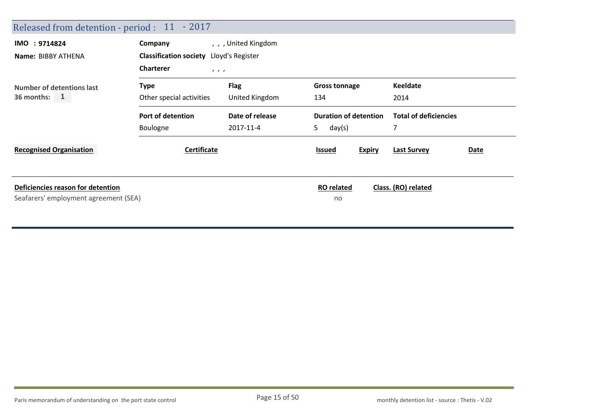| Released from detention - period : 11 - 2017                               |                                         |                    |                                                              |                            |  |
|----------------------------------------------------------------------------|-----------------------------------------|--------------------|--------------------------------------------------------------|----------------------------|--|
| IMO : 9714824                                                              | Company                                 | , , United Kingdom |                                                              |                            |  |
| Name: BIBBY ATHENA                                                         | Classification society Lloyd's Register |                    |                                                              |                            |  |
|                                                                            | <b>Charterer</b><br>$\qquad \qquad$     |                    |                                                              |                            |  |
| <b>Number of detentions last</b>                                           | <b>Type</b>                             | <b>Flag</b>        | <b>Gross tonnage</b>                                         | <b>Keeldate</b>            |  |
| 36 months: $1$                                                             | Other special activities                | United Kingdom     | 134                                                          | 2014                       |  |
|                                                                            | Port of detention                       | Date of release    | <b>Duration of detention</b><br><b>Total of deficiencies</b> |                            |  |
|                                                                            | Boulogne                                | 2017-11-4          | 5.<br>day(s)                                                 |                            |  |
| <b>Recognised Organisation</b>                                             | <b>Certificate</b>                      |                    | <b>Expiry</b><br><b>Issued</b>                               | <b>Last Survey</b><br>Date |  |
| Deficiencies reason for detention<br>Seafarers' employment agreement (SEA) |                                         |                    | <b>RO</b> related<br>no                                      | Class. (RO) related        |  |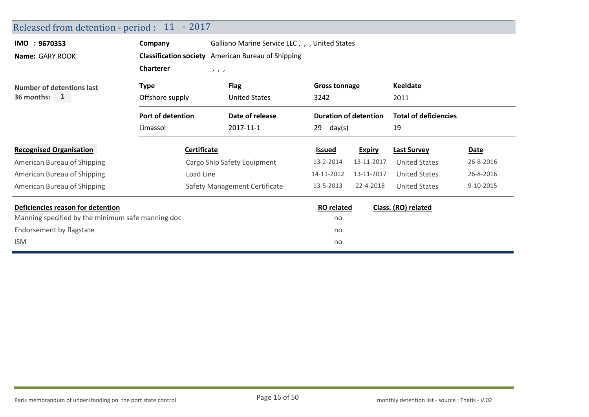| Released from detention - period : 11 - 2017      |                                                                      |                                                           |                              |                      |                      |             |
|---------------------------------------------------|----------------------------------------------------------------------|-----------------------------------------------------------|------------------------------|----------------------|----------------------|-------------|
| IMO : 9670353                                     | Company                                                              | Galliano Marine Service LLC, , , United States            |                              |                      |                      |             |
| Name: GARY ROOK                                   |                                                                      | <b>Classification society</b> American Bureau of Shipping |                              |                      |                      |             |
|                                                   | <b>Charterer</b>                                                     | 1, 1, 1                                                   |                              |                      |                      |             |
| <b>Number of detentions last</b>                  | <b>Flag</b><br><b>Type</b>                                           |                                                           |                              | <b>Gross tonnage</b> | <b>Keeldate</b>      |             |
| 36 months: $1$                                    | <b>United States</b><br>Offshore supply<br>3242                      |                                                           |                              |                      | 2011                 |             |
|                                                   | Port of detention<br><b>Duration of detention</b><br>Date of release |                                                           | <b>Total of deficiencies</b> |                      |                      |             |
|                                                   | Limassol                                                             | 2017-11-1                                                 | 29<br>day(s)                 |                      | 19                   |             |
| <b>Recognised Organisation</b>                    | <b>Certificate</b>                                                   |                                                           | <b>Issued</b>                | <b>Expiry</b>        | <b>Last Survey</b>   | <b>Date</b> |
| American Bureau of Shipping                       |                                                                      | Cargo Ship Safety Equipment                               | 13-2-2014                    | 13-11-2017           | <b>United States</b> | 26-8-2016   |
| American Bureau of Shipping                       | Load Line                                                            |                                                           | 14-11-2012                   | 13-11-2017           | <b>United States</b> | 26-8-2016   |
| American Bureau of Shipping                       |                                                                      | Safety Management Certificate                             | 13-5-2013                    | 22-4-2018            | <b>United States</b> | 9-10-2015   |
| Deficiencies reason for detention                 |                                                                      |                                                           | <b>RO</b> related            |                      | Class. (RO) related  |             |
| Manning specified by the minimum safe manning doc |                                                                      |                                                           | no                           |                      |                      |             |
| Endorsement by flagstate                          |                                                                      |                                                           | no                           |                      |                      |             |
| <b>ISM</b>                                        |                                                                      |                                                           | no                           |                      |                      |             |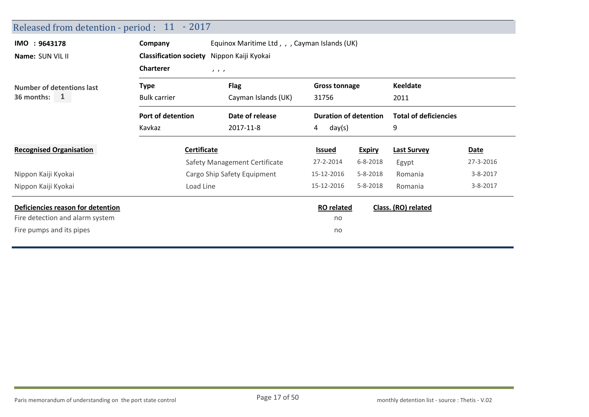| Released from detention - period : 11 - 2017 |                               |                                               |                              |                |                              |                |
|----------------------------------------------|-------------------------------|-----------------------------------------------|------------------------------|----------------|------------------------------|----------------|
| IMO : 9643178                                | Company                       | Equinox Maritime Ltd, , , Cayman Islands (UK) |                              |                |                              |                |
| Name: SUN VIL II                             | <b>Classification society</b> | Nippon Kaiji Kyokai                           |                              |                |                              |                |
|                                              | <b>Charterer</b>              | 1, 1, 1                                       |                              |                |                              |                |
| <b>Number of detentions last</b>             | <b>Type</b>                   | <b>Flag</b>                                   | <b>Gross tonnage</b>         |                | <b>Keeldate</b>              |                |
| 36 months: $1$                               | <b>Bulk carrier</b>           | Cayman Islands (UK)                           | 31756                        |                | 2011                         |                |
|                                              | Port of detention             | Date of release                               | <b>Duration of detention</b> |                | <b>Total of deficiencies</b> |                |
|                                              | Kavkaz                        | 2017-11-8                                     | 4<br>day(s)                  |                | 9                            |                |
| <b>Recognised Organisation</b>               | Certificate                   |                                               | <b>Issued</b>                | <b>Expiry</b>  | <b>Last Survey</b>           | <b>Date</b>    |
|                                              |                               | Safety Management Certificate                 | 27-2-2014                    | $6 - 8 - 2018$ | Egypt                        | 27-3-2016      |
| Nippon Kaiji Kyokai                          |                               | Cargo Ship Safety Equipment                   | 15-12-2016                   | $5 - 8 - 2018$ | Romania                      | $3 - 8 - 2017$ |
| Nippon Kaiji Kyokai                          | Load Line                     |                                               | 15-12-2016                   | $5 - 8 - 2018$ | Romania                      | $3 - 8 - 2017$ |
| Deficiencies reason for detention            |                               |                                               | <b>RO</b> related            |                | Class. (RO) related          |                |
| Fire detection and alarm system              |                               |                                               | no                           |                |                              |                |
| Fire pumps and its pipes                     |                               |                                               | no                           |                |                              |                |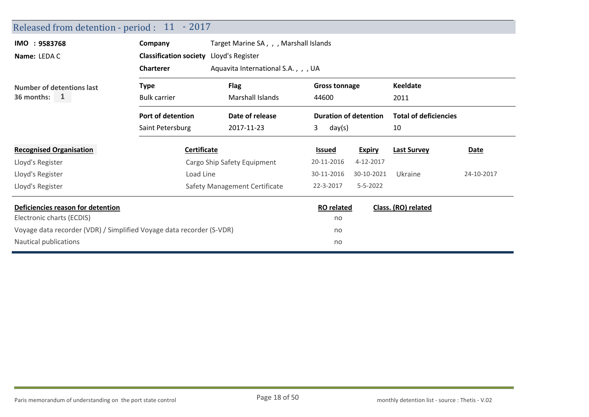| Released from detention - period : 11 - 2017                         |                               |                                        |                              |                |                              |            |
|----------------------------------------------------------------------|-------------------------------|----------------------------------------|------------------------------|----------------|------------------------------|------------|
| IMO : 9583768                                                        | Company                       | Target Marine SA, , , Marshall Islands |                              |                |                              |            |
| Name: LEDA C                                                         | <b>Classification society</b> | Lloyd's Register                       |                              |                |                              |            |
|                                                                      | <b>Charterer</b>              | Aquavita International S.A.,,, UA      |                              |                |                              |            |
| Number of detentions last                                            | <b>Type</b>                   | <b>Flag</b>                            | <b>Gross tonnage</b>         |                | <b>Keeldate</b>              |            |
| 36 months: $1$                                                       | <b>Bulk carrier</b>           | <b>Marshall Islands</b>                | 44600                        |                | 2011                         |            |
|                                                                      | Port of detention             | Date of release                        | <b>Duration of detention</b> |                | <b>Total of deficiencies</b> |            |
|                                                                      | Saint Petersburg              | 2017-11-23                             | 3<br>day(s)                  |                | 10                           |            |
| <b>Recognised Organisation</b>                                       | Certificate                   |                                        | Issued                       | <b>Expiry</b>  | <b>Last Survey</b>           | Date       |
| Lloyd's Register                                                     |                               | Cargo Ship Safety Equipment            | 20-11-2016                   | 4-12-2017      |                              |            |
| Lloyd's Register                                                     | Load Line                     |                                        | 30-11-2016                   | 30-10-2021     | Ukraine                      | 24-10-2017 |
| Lloyd's Register                                                     |                               | Safety Management Certificate          | 22-3-2017                    | $5 - 5 - 2022$ |                              |            |
| Deficiencies reason for detention                                    |                               |                                        | <b>RO</b> related            |                | Class. (RO) related          |            |
| Electronic charts (ECDIS)                                            |                               |                                        | no                           |                |                              |            |
| Voyage data recorder (VDR) / Simplified Voyage data recorder (S-VDR) |                               |                                        | no                           |                |                              |            |
| Nautical publications                                                |                               |                                        | no                           |                |                              |            |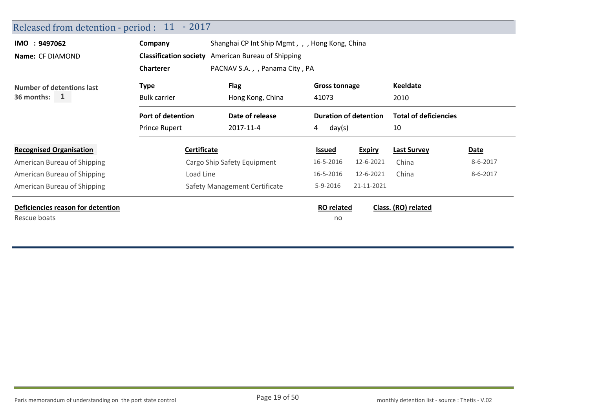| Released from detention - period : | $11 - 2017$          |                                                           |                                             |               |                              |          |
|------------------------------------|----------------------|-----------------------------------------------------------|---------------------------------------------|---------------|------------------------------|----------|
| IMO : 9497062                      | Company              | Shanghai CP Int Ship Mgmt, , , Hong Kong, China           |                                             |               |                              |          |
| <b>Name: CF DIAMOND</b>            |                      | <b>Classification society</b> American Bureau of Shipping |                                             |               |                              |          |
|                                    | <b>Charterer</b>     | PACNAV S.A., , Panama City, PA                            |                                             |               |                              |          |
| Number of detentions last          | <b>Type</b>          | <b>Flag</b>                                               | <b>Gross tonnage</b>                        |               |                              |          |
| $36$ months: 1                     | <b>Bulk carrier</b>  | Hong Kong, China                                          | 41073                                       |               | 2010                         |          |
|                                    | Port of detention    | Date of release                                           | <b>Duration of detention</b><br>day(s)<br>4 |               | <b>Total of deficiencies</b> |          |
|                                    | <b>Prince Rupert</b> | 2017-11-4                                                 |                                             |               | 10                           |          |
| <b>Recognised Organisation</b>     | Certificate          |                                                           | <b>Issued</b>                               | <b>Expiry</b> | <b>Last Survey</b>           | Date     |
| American Bureau of Shipping        |                      | Cargo Ship Safety Equipment                               | 16-5-2016                                   | 12-6-2021     | China                        | 8-6-2017 |
| American Bureau of Shipping        | Load Line            |                                                           | 16-5-2016                                   | 12-6-2021     | China                        | 8-6-2017 |
| American Bureau of Shipping        |                      | Safety Management Certificate                             | $5 - 9 - 2016$                              | 21-11-2021    |                              |          |
| Deficiencies reason for detention  |                      |                                                           | <b>RO</b> related                           |               | Class. (RO) related          |          |
| Rescue boats                       |                      |                                                           | no                                          |               |                              |          |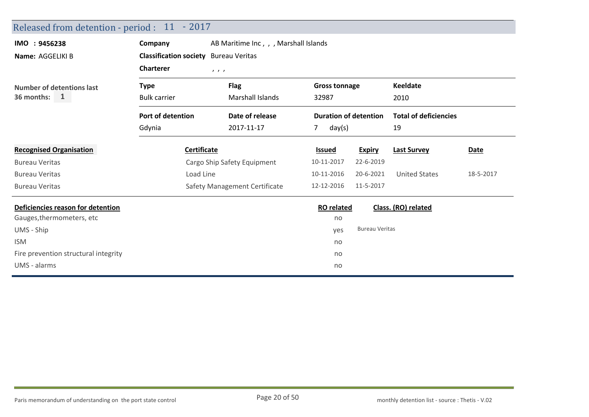| Company             |                       |                                                                                                                                                                                  |                                        |                                                                           |                                                                              |
|---------------------|-----------------------|----------------------------------------------------------------------------------------------------------------------------------------------------------------------------------|----------------------------------------|---------------------------------------------------------------------------|------------------------------------------------------------------------------|
|                     | <b>Bureau Veritas</b> |                                                                                                                                                                                  |                                        |                                                                           |                                                                              |
| <b>Charterer</b>    | 1, 1, 1               |                                                                                                                                                                                  |                                        |                                                                           |                                                                              |
| <b>Type</b>         | <b>Flag</b>           |                                                                                                                                                                                  |                                        | <b>Keeldate</b>                                                           |                                                                              |
| <b>Bulk carrier</b> | Marshall Islands      | 32987                                                                                                                                                                            |                                        | 2010                                                                      |                                                                              |
| Port of detention   | Date of release       |                                                                                                                                                                                  |                                        |                                                                           |                                                                              |
| Gdynia              | 2017-11-17            | day(s)<br>7                                                                                                                                                                      |                                        | 19                                                                        |                                                                              |
|                     |                       | <b>Issued</b>                                                                                                                                                                    | <b>Expiry</b>                          | <b>Last Survey</b>                                                        | Date                                                                         |
|                     |                       | 10-11-2017                                                                                                                                                                       | 22-6-2019                              |                                                                           |                                                                              |
|                     |                       | 10-11-2016                                                                                                                                                                       | 20-6-2021                              | <b>United States</b>                                                      | 18-5-2017                                                                    |
|                     |                       | 12-12-2016                                                                                                                                                                       | 11-5-2017                              |                                                                           |                                                                              |
|                     |                       |                                                                                                                                                                                  |                                        |                                                                           |                                                                              |
|                     |                       | no                                                                                                                                                                               |                                        |                                                                           |                                                                              |
|                     |                       | yes                                                                                                                                                                              |                                        |                                                                           |                                                                              |
|                     |                       | no                                                                                                                                                                               |                                        |                                                                           |                                                                              |
|                     |                       | no                                                                                                                                                                               |                                        |                                                                           |                                                                              |
|                     |                       | no                                                                                                                                                                               |                                        |                                                                           |                                                                              |
|                     |                       | Released from detention - period : 11 - 2017<br><b>Classification society</b><br><b>Certificate</b><br>Cargo Ship Safety Equipment<br>Load Line<br>Safety Management Certificate | AB Maritime Inc., , , Marshall Islands | <b>Gross tonnage</b><br><b>Duration of detention</b><br><b>RO</b> related | <b>Total of deficiencies</b><br>Class. (RO) related<br><b>Bureau Veritas</b> |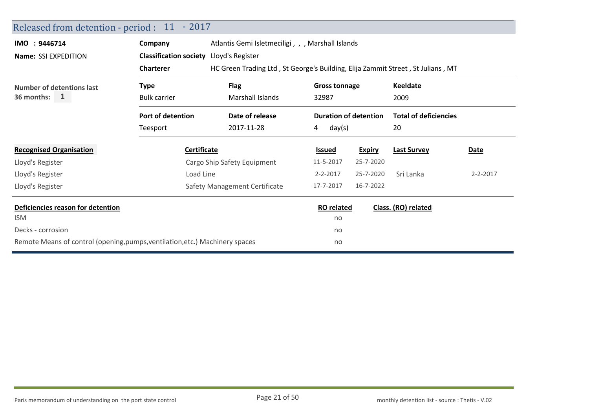| Released from detention - period : 11 - 2017                                 |                                         |                                                                                 |                              |               |                              |                |  |
|------------------------------------------------------------------------------|-----------------------------------------|---------------------------------------------------------------------------------|------------------------------|---------------|------------------------------|----------------|--|
| IMO : 9446714                                                                | Company                                 | Atlantis Gemi Isletmeciligi, , , Marshall Islands                               |                              |               |                              |                |  |
| Name: SSI EXPEDITION                                                         | Classification society Lloyd's Register |                                                                                 |                              |               |                              |                |  |
|                                                                              | <b>Charterer</b>                        | HC Green Trading Ltd, St George's Building, Elija Zammit Street, St Julians, MT |                              |               |                              |                |  |
| <b>Number of detentions last</b>                                             | <b>Type</b>                             | <b>Flag</b>                                                                     | <b>Gross tonnage</b>         |               | <b>Keeldate</b>              |                |  |
| 36 months: $1$                                                               | <b>Bulk carrier</b>                     | Marshall Islands                                                                | 32987                        |               | 2009                         |                |  |
|                                                                              | Port of detention                       | Date of release                                                                 | <b>Duration of detention</b> |               | <b>Total of deficiencies</b> |                |  |
|                                                                              | Teesport                                | 2017-11-28                                                                      | day(s)<br>4                  |               | 20                           |                |  |
| <b>Recognised Organisation</b>                                               | Certificate                             |                                                                                 | <b>Issued</b>                | <b>Expiry</b> | <b>Last Survey</b>           | Date           |  |
| Lloyd's Register                                                             |                                         | Cargo Ship Safety Equipment                                                     | 11-5-2017                    | 25-7-2020     |                              |                |  |
| Lloyd's Register                                                             | Load Line                               |                                                                                 | $2 - 2 - 2017$               | 25-7-2020     | Sri Lanka                    | $2 - 2 - 2017$ |  |
| Lloyd's Register                                                             |                                         | Safety Management Certificate                                                   | 17-7-2017                    | 16-7-2022     |                              |                |  |
| Deficiencies reason for detention                                            |                                         |                                                                                 | <b>RO</b> related            |               | Class. (RO) related          |                |  |
| <b>ISM</b>                                                                   |                                         |                                                                                 | no                           |               |                              |                |  |
| Decks - corrosion                                                            |                                         |                                                                                 | no                           |               |                              |                |  |
| Remote Means of control (opening, pumps, ventilation, etc.) Machinery spaces |                                         |                                                                                 | no                           |               |                              |                |  |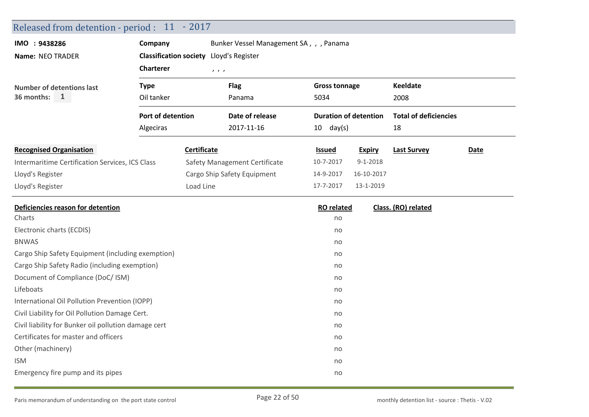| Released from detention - period : 11 - 2017         |                                         |                                                     |                                         |                              |                |                              |      |  |  |
|------------------------------------------------------|-----------------------------------------|-----------------------------------------------------|-----------------------------------------|------------------------------|----------------|------------------------------|------|--|--|
| IMO : 9438286                                        | Company                                 |                                                     | Bunker Vessel Management SA, , , Panama |                              |                |                              |      |  |  |
| Name: NEO TRADER                                     | Classification society Lloyd's Register |                                                     |                                         |                              |                |                              |      |  |  |
|                                                      | <b>Charterer</b>                        | $\mathcal{F} \times \mathcal{F} \times \mathcal{F}$ |                                         |                              |                |                              |      |  |  |
| <b>Number of detentions last</b>                     | <b>Type</b>                             |                                                     | <b>Flag</b>                             | <b>Gross tonnage</b>         |                | <b>Keeldate</b>              |      |  |  |
| 36 months:<br>$\mathbf{1}$                           | Oil tanker                              |                                                     | Panama                                  | 5034                         |                | 2008                         |      |  |  |
|                                                      | Port of detention                       |                                                     | Date of release                         | <b>Duration of detention</b> |                | <b>Total of deficiencies</b> |      |  |  |
|                                                      | Algeciras                               |                                                     | 2017-11-16                              | $10 \text{ day(s)}$          |                | 18                           |      |  |  |
| <b>Recognised Organisation</b>                       |                                         | Certificate                                         |                                         | <b>Issued</b>                | <b>Expiry</b>  | <b>Last Survey</b>           | Date |  |  |
| Intermaritime Certification Services, ICS Class      |                                         |                                                     | Safety Management Certificate           | 10-7-2017                    | $9 - 1 - 2018$ |                              |      |  |  |
| Lloyd's Register                                     |                                         |                                                     | Cargo Ship Safety Equipment             | 14-9-2017                    | 16-10-2017     |                              |      |  |  |
| Lloyd's Register                                     |                                         | Load Line                                           |                                         | 17-7-2017                    | 13-1-2019      |                              |      |  |  |
| Deficiencies reason for detention                    |                                         |                                                     |                                         | <b>RO</b> related            |                | Class. (RO) related          |      |  |  |
| Charts                                               |                                         |                                                     |                                         | no                           |                |                              |      |  |  |
| Electronic charts (ECDIS)                            |                                         |                                                     |                                         | no                           |                |                              |      |  |  |
| <b>BNWAS</b>                                         |                                         |                                                     |                                         | no                           |                |                              |      |  |  |
|                                                      |                                         |                                                     |                                         |                              |                |                              |      |  |  |
| Cargo Ship Safety Equipment (including exemption)    |                                         |                                                     |                                         | no                           |                |                              |      |  |  |
| Cargo Ship Safety Radio (including exemption)        |                                         |                                                     |                                         | no                           |                |                              |      |  |  |
| Document of Compliance (DoC/ ISM)                    |                                         |                                                     |                                         | no                           |                |                              |      |  |  |
| Lifeboats                                            |                                         |                                                     |                                         | no                           |                |                              |      |  |  |
| International Oil Pollution Prevention (IOPP)        |                                         |                                                     |                                         | no                           |                |                              |      |  |  |
| Civil Liability for Oil Pollution Damage Cert.       |                                         |                                                     |                                         | no                           |                |                              |      |  |  |
| Civil liability for Bunker oil pollution damage cert |                                         |                                                     |                                         | no                           |                |                              |      |  |  |
| Certificates for master and officers                 |                                         |                                                     |                                         | no                           |                |                              |      |  |  |
| Other (machinery)                                    |                                         |                                                     |                                         | no                           |                |                              |      |  |  |
| <b>ISM</b>                                           |                                         |                                                     |                                         | no                           |                |                              |      |  |  |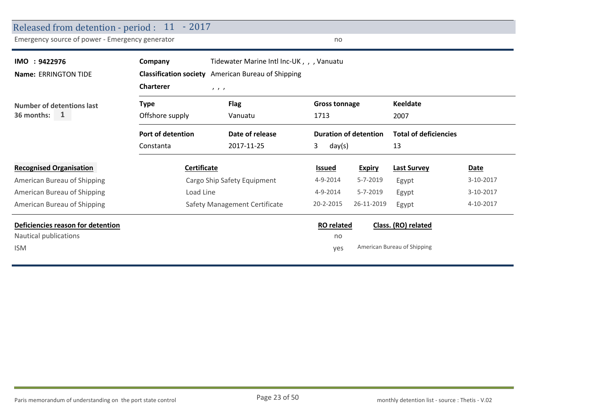| Released from detention - period : 11 - 2017    |                    |                                                           |                   |                              |                              |           |
|-------------------------------------------------|--------------------|-----------------------------------------------------------|-------------------|------------------------------|------------------------------|-----------|
| Emergency source of power - Emergency generator |                    |                                                           | no                |                              |                              |           |
| IMO : 9422976                                   | Company            | Tidewater Marine Intl Inc-UK,, Vanuatu                    |                   |                              |                              |           |
| <b>Name: ERRINGTON TIDE</b>                     |                    | <b>Classification society</b> American Bureau of Shipping |                   |                              |                              |           |
|                                                 | <b>Charterer</b>   | 1, 1, 1                                                   |                   |                              |                              |           |
| Number of detentions last                       | <b>Type</b>        | <b>Flag</b><br><b>Gross tonnage</b>                       |                   | <b>Keeldate</b>              |                              |           |
| 36 months:<br>1                                 | Offshore supply    | Vanuatu                                                   | 1713<br>2007      |                              |                              |           |
|                                                 | Port of detention  | Date of release                                           |                   | <b>Duration of detention</b> | <b>Total of deficiencies</b> |           |
|                                                 | Constanta          | 2017-11-25                                                | 3.<br>day(s)      |                              | 13                           |           |
| <b>Recognised Organisation</b>                  | <b>Certificate</b> |                                                           | <b>Issued</b>     | <b>Expiry</b>                | <b>Last Survey</b>           | Date      |
| American Bureau of Shipping                     |                    | Cargo Ship Safety Equipment                               | 4-9-2014          | $5 - 7 - 2019$               | Egypt                        | 3-10-2017 |
| American Bureau of Shipping                     | Load Line          |                                                           | 4-9-2014          | 5-7-2019                     | Egypt                        | 3-10-2017 |
| American Bureau of Shipping                     |                    | Safety Management Certificate                             | 20-2-2015         | 26-11-2019                   | Egypt                        | 4-10-2017 |
| Deficiencies reason for detention               |                    |                                                           | <b>RO</b> related |                              | Class. (RO) related          |           |
| Nautical publications                           |                    |                                                           | no                |                              |                              |           |
| <b>ISM</b>                                      |                    |                                                           | yes               |                              | American Bureau of Shipping  |           |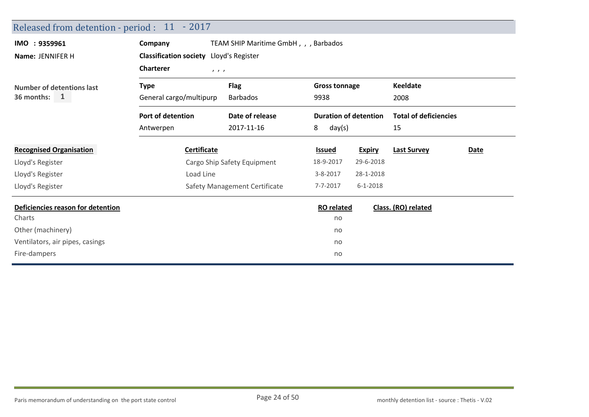| Released from detention - period : 11 - 2017 |                                                    |                                       |                              |                |                              |             |  |  |
|----------------------------------------------|----------------------------------------------------|---------------------------------------|------------------------------|----------------|------------------------------|-------------|--|--|
| IMO : 9359961<br>Name: JENNIFER H            | Company<br>Classification society Lloyd's Register | TEAM SHIP Maritime GmbH, , , Barbados |                              |                |                              |             |  |  |
|                                              | <b>Charterer</b><br>1, 1, 1                        |                                       |                              |                |                              |             |  |  |
| <b>Number of detentions last</b>             | <b>Type</b>                                        | <b>Flag</b>                           | <b>Gross tonnage</b>         |                | Keeldate                     |             |  |  |
| 36 months:<br>$\mathbf{1}$                   | General cargo/multipurp                            | <b>Barbados</b>                       | 9938                         |                | 2008                         |             |  |  |
|                                              | Port of detention                                  | Date of release                       | <b>Duration of detention</b> |                | <b>Total of deficiencies</b> |             |  |  |
|                                              | Antwerpen                                          | 2017-11-16                            | 8<br>day(s)                  |                | 15                           |             |  |  |
| <b>Recognised Organisation</b>               | <b>Certificate</b>                                 |                                       | <b>Issued</b>                | <b>Expiry</b>  | <b>Last Survey</b>           | <b>Date</b> |  |  |
| Lloyd's Register                             |                                                    | Cargo Ship Safety Equipment           | 18-9-2017                    | 29-6-2018      |                              |             |  |  |
| Lloyd's Register                             | Load Line                                          |                                       | $3 - 8 - 2017$               | 28-1-2018      |                              |             |  |  |
| Lloyd's Register                             |                                                    | Safety Management Certificate         | 7-7-2017                     | $6 - 1 - 2018$ |                              |             |  |  |
| Deficiencies reason for detention            |                                                    |                                       | <b>RO</b> related            |                | Class. (RO) related          |             |  |  |
| Charts                                       |                                                    |                                       | no                           |                |                              |             |  |  |
| Other (machinery)                            |                                                    |                                       | no                           |                |                              |             |  |  |
| Ventilators, air pipes, casings              |                                                    |                                       | no                           |                |                              |             |  |  |
| Fire-dampers                                 |                                                    |                                       | no                           |                |                              |             |  |  |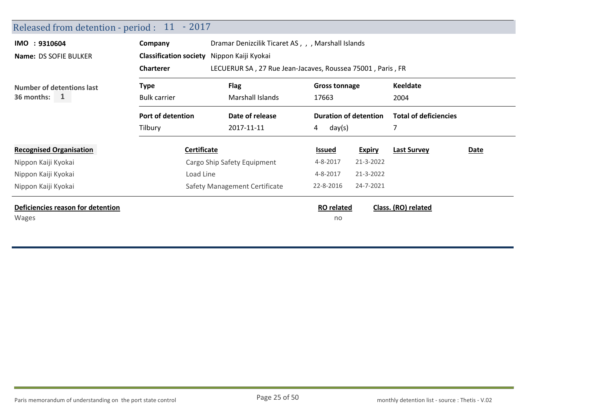| Released from detention - period : 11 - 2017 |                                                                                |                                                    |                         |                              |                              |      |
|----------------------------------------------|--------------------------------------------------------------------------------|----------------------------------------------------|-------------------------|------------------------------|------------------------------|------|
| IMO : 9310604                                | Company                                                                        | Dramar Denizcilik Ticaret AS, , , Marshall Islands |                         |                              |                              |      |
| Name: DS SOFIE BULKER                        | <b>Classification society</b>                                                  | Nippon Kaiji Kyokai                                |                         |                              |                              |      |
|                                              | <b>Charterer</b><br>LECUERUR SA, 27 Rue Jean-Jacaves, Roussea 75001, Paris, FR |                                                    |                         |                              |                              |      |
| Number of detentions last                    | <b>Flag</b><br><b>Gross tonnage</b><br>Type                                    |                                                    |                         | <b>Keeldate</b>              |                              |      |
| 36 months: $1$                               | <b>Bulk carrier</b><br>Marshall Islands<br>17663                               |                                                    |                         |                              | 2004                         |      |
|                                              | Port of detention                                                              | Date of release                                    |                         | <b>Duration of detention</b> | <b>Total of deficiencies</b> |      |
|                                              | Tilbury                                                                        | 2017-11-11                                         | day(s)<br>4             |                              |                              |      |
| <b>Recognised Organisation</b>               | <b>Certificate</b>                                                             |                                                    | <u>Issued</u>           | <b>Expiry</b>                | <b>Last Survey</b>           | Date |
| Nippon Kaiji Kyokai                          |                                                                                | Cargo Ship Safety Equipment                        | 4-8-2017                | 21-3-2022                    |                              |      |
| Nippon Kaiji Kyokai                          | Load Line                                                                      |                                                    | 4-8-2017                | 21-3-2022                    |                              |      |
| Nippon Kaiji Kyokai                          |                                                                                | Safety Management Certificate                      | 22-8-2016               | 24-7-2021                    |                              |      |
| Deficiencies reason for detention<br>Wages   |                                                                                |                                                    | <b>RO</b> related<br>no |                              | Class. (RO) related          |      |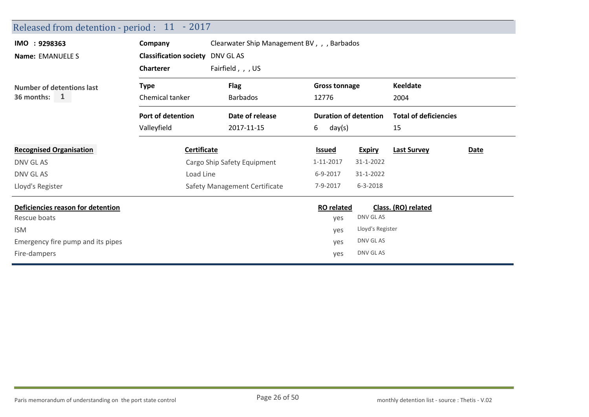| Released from detention - period : 11 - 2017 |                                        |                                             |                              |                  |                              |      |
|----------------------------------------------|----------------------------------------|---------------------------------------------|------------------------------|------------------|------------------------------|------|
| IMO : 9298363                                | Company                                | Clearwater Ship Management BV, , , Barbados |                              |                  |                              |      |
| Name: EMANUELE S                             | <b>Classification society DNV GLAS</b> |                                             |                              |                  |                              |      |
|                                              | <b>Charterer</b>                       | Fairfield, , , US                           |                              |                  |                              |      |
| Number of detentions last                    | Type                                   | <b>Flag</b>                                 | <b>Gross tonnage</b>         |                  | <b>Keeldate</b>              |      |
| 36 months: $1$                               | Chemical tanker                        | <b>Barbados</b>                             | 12776                        |                  | 2004                         |      |
|                                              | Port of detention                      | Date of release                             | <b>Duration of detention</b> |                  | <b>Total of deficiencies</b> |      |
|                                              | Valleyfield                            | 2017-11-15                                  | 6<br>day(s)                  |                  | 15                           |      |
| <b>Recognised Organisation</b>               | <b>Certificate</b>                     |                                             | <b>Issued</b>                | <b>Expiry</b>    | <b>Last Survey</b>           | Date |
| DNV GL AS                                    |                                        | Cargo Ship Safety Equipment                 | 1-11-2017                    | 31-1-2022        |                              |      |
| DNV GL AS                                    | Load Line                              |                                             | 6-9-2017                     | 31-1-2022        |                              |      |
| Lloyd's Register                             |                                        | Safety Management Certificate               | 7-9-2017                     | $6 - 3 - 2018$   |                              |      |
| Deficiencies reason for detention            |                                        |                                             | <b>RO</b> related            |                  | Class. (RO) related          |      |
| Rescue boats                                 |                                        |                                             | yes                          | DNV GL AS        |                              |      |
| <b>ISM</b>                                   |                                        |                                             | yes                          | Lloyd's Register |                              |      |
| Emergency fire pump and its pipes            |                                        |                                             | yes                          | DNV GL AS        |                              |      |
| Fire-dampers                                 |                                        |                                             | yes                          | DNV GL AS        |                              |      |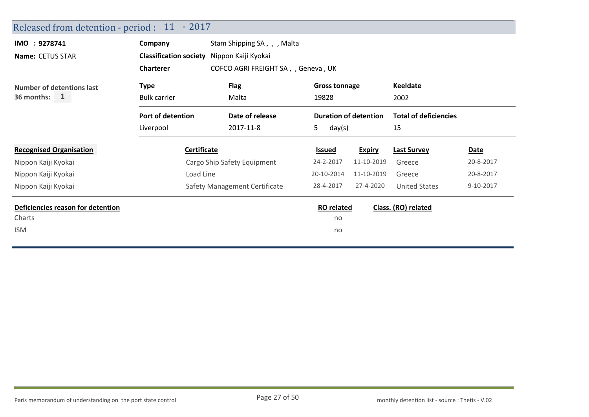| Released from detention - period : 11 - 2017 |                                                         |                               |                   |                              |                              |           |
|----------------------------------------------|---------------------------------------------------------|-------------------------------|-------------------|------------------------------|------------------------------|-----------|
| IMO : 9278741                                | Company                                                 | Stam Shipping SA, , , Malta   |                   |                              |                              |           |
| Name: CETUS STAR                             | <b>Classification society</b>                           | Nippon Kaiji Kyokai           |                   |                              |                              |           |
|                                              | <b>Charterer</b><br>COFCO AGRI FREIGHT SA, , Geneva, UK |                               |                   |                              |                              |           |
| <b>Number of detentions last</b>             | <b>Flag</b><br><b>Gross tonnage</b><br>Type             |                               |                   | <b>Keeldate</b>              |                              |           |
| 36 months:<br>$\mathbf{1}$                   | <b>Bulk carrier</b>                                     | Malta                         | 19828             |                              | 2002                         |           |
|                                              | Port of detention                                       | Date of release               |                   | <b>Duration of detention</b> | <b>Total of deficiencies</b> |           |
|                                              | Liverpool                                               | 2017-11-8                     | 5.<br>day(s)      |                              | 15                           |           |
| <b>Recognised Organisation</b>               | Certificate                                             |                               | <b>Issued</b>     | <b>Expiry</b>                | <b>Last Survey</b>           | Date      |
| Nippon Kaiji Kyokai                          |                                                         | Cargo Ship Safety Equipment   | 24-2-2017         | 11-10-2019                   | Greece                       | 20-8-2017 |
| Nippon Kaiji Kyokai                          | Load Line                                               |                               | 20-10-2014        | 11-10-2019                   | Greece                       | 20-8-2017 |
| Nippon Kaiji Kyokai                          |                                                         | Safety Management Certificate | 28-4-2017         | 27-4-2020                    | <b>United States</b>         | 9-10-2017 |
| Deficiencies reason for detention            |                                                         |                               | <b>RO</b> related |                              | Class. (RO) related          |           |
| Charts                                       |                                                         |                               | no                |                              |                              |           |
| <b>ISM</b>                                   |                                                         |                               | no                |                              |                              |           |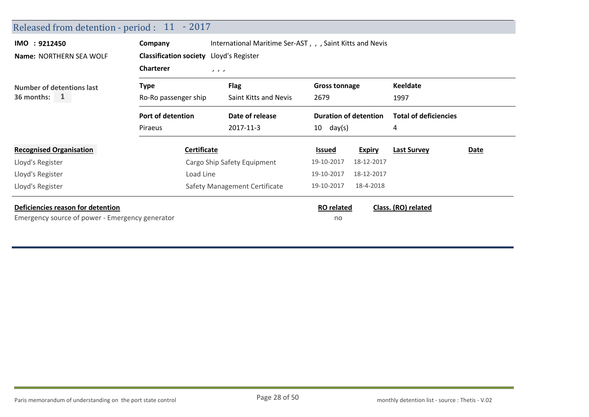| IMO : 9212450                               | Company                                                     | International Maritime Ser-AST, , , Saint Kitts and Nevis |                                                              |               |                                                         |      |
|---------------------------------------------|-------------------------------------------------------------|-----------------------------------------------------------|--------------------------------------------------------------|---------------|---------------------------------------------------------|------|
| <b>Name: NORTHERN SEA WOLF</b>              | Classification society Lloyd's Register<br><b>Charterer</b> | $\qquad \qquad$                                           |                                                              |               |                                                         |      |
| Number of detentions last<br>36 months: $1$ | Type<br>Ro-Ro passenger ship                                | <b>Flag</b><br>Saint Kitts and Nevis                      | <b>Gross tonnage</b><br>2679<br><b>Duration of detention</b> |               | <b>Keeldate</b><br>1997<br><b>Total of deficiencies</b> |      |
|                                             | Port of detention                                           | Date of release                                           |                                                              |               |                                                         |      |
|                                             | Piraeus                                                     | 2017-11-3                                                 | $10 \quad day(s)$                                            |               | 4                                                       |      |
| <b>Recognised Organisation</b>              | <b>Certificate</b>                                          |                                                           | <u>Issued</u>                                                | <b>Expiry</b> | <b>Last Survey</b>                                      | Date |
| Lloyd's Register                            |                                                             | Cargo Ship Safety Equipment                               | 19-10-2017                                                   | 18-12-2017    |                                                         |      |
| Lloyd's Register                            | Load Line                                                   |                                                           | 19-10-2017                                                   | 18-12-2017    |                                                         |      |
|                                             |                                                             | Safety Management Certificate                             | 19-10-2017                                                   | 18-4-2018     |                                                         |      |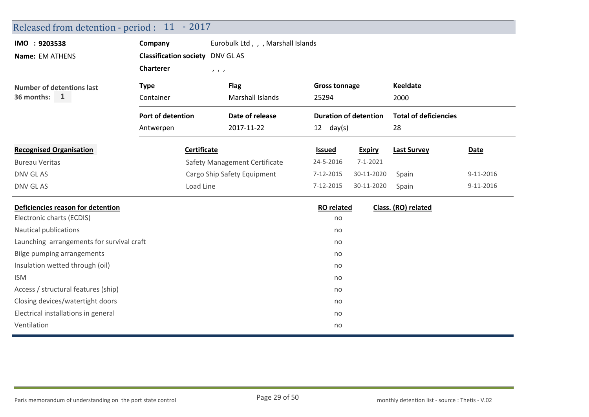| Released from detention - period : 11 - 2017 |                                         |                                    |                      |                              |                              |           |
|----------------------------------------------|-----------------------------------------|------------------------------------|----------------------|------------------------------|------------------------------|-----------|
| IMO : 9203538                                | Company                                 | Eurobulk Ltd, , , Marshall Islands |                      |                              |                              |           |
| Name: EM ATHENS                              | <b>Classification society</b> DNV GL AS |                                    |                      |                              |                              |           |
|                                              | <b>Charterer</b>                        | 1, 1, 1                            |                      |                              |                              |           |
| <b>Number of detentions last</b>             | <b>Type</b>                             | <b>Flag</b>                        | <b>Gross tonnage</b> |                              | <b>Keeldate</b>              |           |
| 36 months: 1                                 | Container                               | Marshall Islands                   | 25294                |                              | 2000                         |           |
|                                              | Port of detention                       | Date of release                    |                      | <b>Duration of detention</b> | <b>Total of deficiencies</b> |           |
|                                              | Antwerpen                               | 2017-11-22                         | $12 \text{ day(s)}$  |                              | 28                           |           |
| <b>Recognised Organisation</b>               | Certificate                             |                                    | <b>Issued</b>        | <b>Expiry</b>                | <b>Last Survey</b>           | Date      |
| <b>Bureau Veritas</b>                        | Safety Management Certificate           |                                    | 24-5-2016            | $7 - 1 - 2021$               |                              |           |
| DNV GL AS                                    |                                         | Cargo Ship Safety Equipment        | 7-12-2015            | 30-11-2020                   | Spain                        | 9-11-2016 |
| DNV GL AS                                    | Load Line                               |                                    | 7-12-2015            | 30-11-2020                   | Spain                        | 9-11-2016 |
| Deficiencies reason for detention            |                                         |                                    | <b>RO</b> related    |                              | Class. (RO) related          |           |
| Electronic charts (ECDIS)                    |                                         |                                    | no                   |                              |                              |           |
| Nautical publications                        |                                         |                                    | no                   |                              |                              |           |
| Launching arrangements for survival craft    |                                         |                                    | no                   |                              |                              |           |
| <b>Bilge pumping arrangements</b>            |                                         |                                    | no                   |                              |                              |           |
| Insulation wetted through (oil)              |                                         |                                    | no                   |                              |                              |           |
| <b>ISM</b>                                   |                                         |                                    | no                   |                              |                              |           |
| Access / structural features (ship)          |                                         |                                    | no                   |                              |                              |           |
| Closing devices/watertight doors             |                                         |                                    | no                   |                              |                              |           |
| Electrical installations in general          |                                         |                                    | no                   |                              |                              |           |
| Ventilation                                  |                                         |                                    | no                   |                              |                              |           |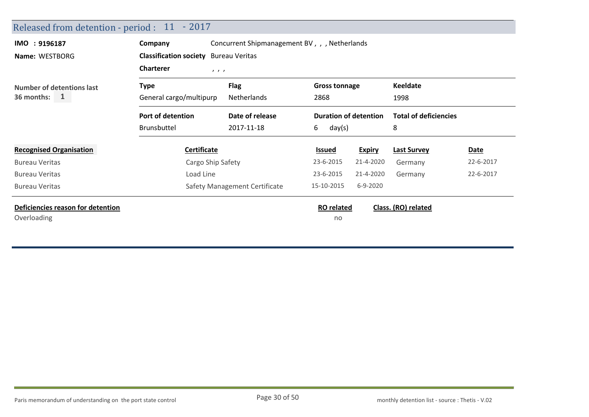| Released from detention - period : 11 - 2017 |                                                       |                                              |                              |               |                              |             |  |  |
|----------------------------------------------|-------------------------------------------------------|----------------------------------------------|------------------------------|---------------|------------------------------|-------------|--|--|
| IMO: 9196187                                 | Company                                               | Concurrent Shipmanagement BV,, , Netherlands |                              |               |                              |             |  |  |
| Name: WESTBORG                               | <b>Classification society</b> Bureau Veritas          |                                              |                              |               |                              |             |  |  |
|                                              | <b>Charterer</b><br>$\qquad \qquad$                   |                                              |                              |               |                              |             |  |  |
| <b>Number of detentions last</b>             | Type                                                  | <b>Flag</b><br><b>Gross tonnage</b>          |                              |               | <b>Keeldate</b>              |             |  |  |
| $36$ months: $1$                             | General cargo/multipurp<br>2868<br><b>Netherlands</b> |                                              |                              | 1998          |                              |             |  |  |
|                                              | Port of detention                                     | Date of release                              | <b>Duration of detention</b> |               | <b>Total of deficiencies</b> |             |  |  |
|                                              | <b>Brunsbuttel</b>                                    | 2017-11-18                                   | 6<br>day(s)                  |               | 8                            |             |  |  |
| <b>Recognised Organisation</b>               | Certificate                                           |                                              | <b>Issued</b>                | <b>Expiry</b> | <b>Last Survey</b>           | <b>Date</b> |  |  |
| <b>Bureau Veritas</b>                        | Cargo Ship Safety                                     |                                              | 23-6-2015                    | 21-4-2020     | Germany                      | 22-6-2017   |  |  |
| <b>Bureau Veritas</b>                        | Load Line                                             |                                              | 23-6-2015                    | 21-4-2020     | Germany                      | 22-6-2017   |  |  |
| <b>Bureau Veritas</b>                        |                                                       | Safety Management Certificate                | 15-10-2015                   | 6-9-2020      |                              |             |  |  |
| Deficiencies reason for detention            |                                                       |                                              | <b>RO</b> related            |               | Class. (RO) related          |             |  |  |
| Overloading                                  |                                                       |                                              | no                           |               |                              |             |  |  |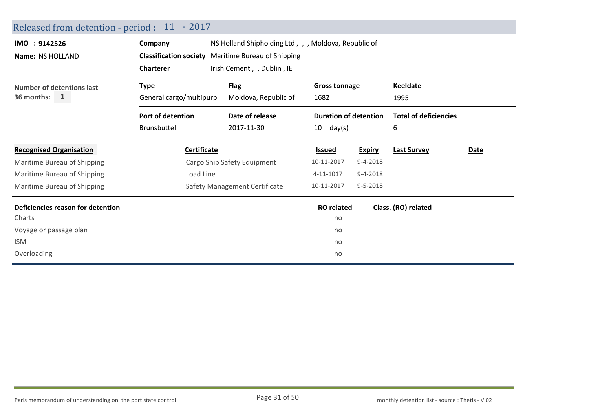| Released from detention - period : 11 - 2017                                                                                                      |                 |                                                                                                                                                                               |                |                                                                                                           |                     |
|---------------------------------------------------------------------------------------------------------------------------------------------------|-----------------|-------------------------------------------------------------------------------------------------------------------------------------------------------------------------------|----------------|-----------------------------------------------------------------------------------------------------------|---------------------|
| Company                                                                                                                                           |                 |                                                                                                                                                                               |                |                                                                                                           |                     |
|                                                                                                                                                   |                 |                                                                                                                                                                               |                |                                                                                                           |                     |
| <b>Charterer</b>                                                                                                                                  |                 |                                                                                                                                                                               |                |                                                                                                           |                     |
| <b>Flag</b><br><b>Gross tonnage</b><br><b>Type</b><br><b>Number of detentions last</b><br>General cargo/multipurp<br>Moldova, Republic of<br>1682 |                 |                                                                                                                                                                               |                | <b>Keeldate</b>                                                                                           |                     |
|                                                                                                                                                   |                 | 1995                                                                                                                                                                          |                |                                                                                                           |                     |
| Port of detention                                                                                                                                 | Date of release |                                                                                                                                                                               |                | <b>Total of deficiencies</b>                                                                              |                     |
| Brunsbuttel                                                                                                                                       | 2017-11-30      | 10<br>day(s)                                                                                                                                                                  |                | 6                                                                                                         |                     |
|                                                                                                                                                   |                 | Issued                                                                                                                                                                        | <b>Expiry</b>  | <b>Last Survey</b>                                                                                        | Date                |
|                                                                                                                                                   |                 | 10-11-2017                                                                                                                                                                    | $9 - 4 - 2018$ |                                                                                                           |                     |
| Load Line                                                                                                                                         |                 | 4-11-1017                                                                                                                                                                     | $9 - 4 - 2018$ |                                                                                                           |                     |
|                                                                                                                                                   |                 | 10-11-2017                                                                                                                                                                    | 9-5-2018       |                                                                                                           |                     |
|                                                                                                                                                   |                 |                                                                                                                                                                               |                |                                                                                                           |                     |
|                                                                                                                                                   |                 | no                                                                                                                                                                            |                |                                                                                                           |                     |
|                                                                                                                                                   |                 | no                                                                                                                                                                            |                |                                                                                                           |                     |
|                                                                                                                                                   |                 | no                                                                                                                                                                            |                |                                                                                                           |                     |
|                                                                                                                                                   |                 | no                                                                                                                                                                            |                |                                                                                                           |                     |
|                                                                                                                                                   |                 | <b>Classification society</b> Maritime Bureau of Shipping<br>Irish Cement, , Dublin, IE<br><b>Certificate</b><br>Cargo Ship Safety Equipment<br>Safety Management Certificate |                | NS Holland Shipholding Ltd, , , Moldova, Republic of<br><b>Duration of detention</b><br><b>RO</b> related | Class. (RO) related |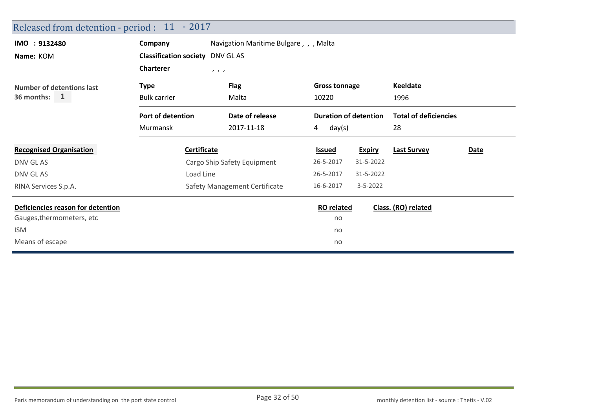| Released from detention - period : 11 - 2017 |                                         |                                        |                      |                              |                              |             |
|----------------------------------------------|-----------------------------------------|----------------------------------------|----------------------|------------------------------|------------------------------|-------------|
| IMO : 9132480                                | Company                                 | Navigation Maritime Bulgare, , , Malta |                      |                              |                              |             |
| Name: KOM                                    | <b>Classification society</b> DNV GL AS |                                        |                      |                              |                              |             |
|                                              | <b>Charterer</b>                        | 1, 1, 1                                |                      |                              |                              |             |
| Number of detentions last<br>36 months: $1$  | <b>Type</b>                             | <b>Flag</b>                            | <b>Gross tonnage</b> |                              | <b>Keeldate</b>              |             |
|                                              | <b>Bulk carrier</b>                     | Malta                                  | 10220                |                              | 1996                         |             |
|                                              | Port of detention                       | Date of release                        |                      | <b>Duration of detention</b> | <b>Total of deficiencies</b> |             |
|                                              | Murmansk                                | 2017-11-18                             | day(s)<br>4          |                              | 28                           |             |
| <b>Recognised Organisation</b>               | <b>Certificate</b>                      |                                        | <b>Issued</b>        | <b>Expiry</b>                | <b>Last Survey</b>           | <b>Date</b> |
| DNV GL AS                                    |                                         | Cargo Ship Safety Equipment            | 26-5-2017            | 31-5-2022                    |                              |             |
| DNV GL AS                                    | Load Line                               |                                        | 26-5-2017            | 31-5-2022                    |                              |             |
| RINA Services S.p.A.                         |                                         | Safety Management Certificate          | 16-6-2017            | $3 - 5 - 2022$               |                              |             |
| Deficiencies reason for detention            |                                         |                                        | <b>RO</b> related    |                              | Class. (RO) related          |             |
| Gauges, thermometers, etc                    |                                         |                                        | no                   |                              |                              |             |
| <b>ISM</b>                                   |                                         |                                        | no                   |                              |                              |             |
| Means of escape                              |                                         |                                        | no                   |                              |                              |             |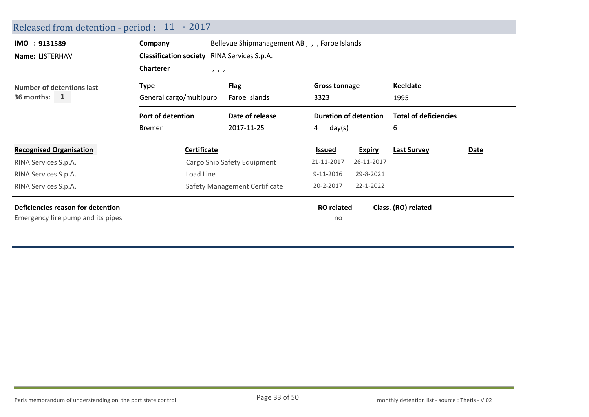| Released from detention - period : 11 - 2017                           |                                                                       |                                                                       |                                             |               |                                   |      |
|------------------------------------------------------------------------|-----------------------------------------------------------------------|-----------------------------------------------------------------------|---------------------------------------------|---------------|-----------------------------------|------|
| IMO : 9131589<br>Name: LISTERHAV                                       | Company<br><b>Classification society</b>                              | Bellevue Shipmanagement AB, , , Faroe Islands<br>RINA Services S.p.A. |                                             |               |                                   |      |
| Number of detentions last<br>$36$ months: 1                            | <b>Charterer</b><br>1, 1, 1<br><b>Type</b><br>General cargo/multipurp | <b>Flag</b><br>Faroe Islands                                          | <b>Gross tonnage</b><br>3323                |               | <b>Keeldate</b><br>1995           |      |
|                                                                        | Port of detention<br><b>Bremen</b>                                    | Date of release<br>2017-11-25                                         | <b>Duration of detention</b><br>day(s)<br>4 |               | <b>Total of deficiencies</b><br>6 |      |
| <b>Recognised Organisation</b>                                         | <b>Certificate</b>                                                    |                                                                       | <u>Issued</u>                               | <b>Expiry</b> | <b>Last Survey</b>                | Date |
| RINA Services S.p.A.                                                   |                                                                       | Cargo Ship Safety Equipment                                           | 21-11-2017                                  | 26-11-2017    |                                   |      |
| RINA Services S.p.A.                                                   | Load Line                                                             |                                                                       | 9-11-2016                                   | 29-8-2021     |                                   |      |
| RINA Services S.p.A.                                                   |                                                                       | Safety Management Certificate                                         | 20-2-2017                                   | 22-1-2022     |                                   |      |
| Deficiencies reason for detention<br>Emergency fire pump and its pipes |                                                                       |                                                                       | <b>RO</b> related<br>no                     |               | Class. (RO) related               |      |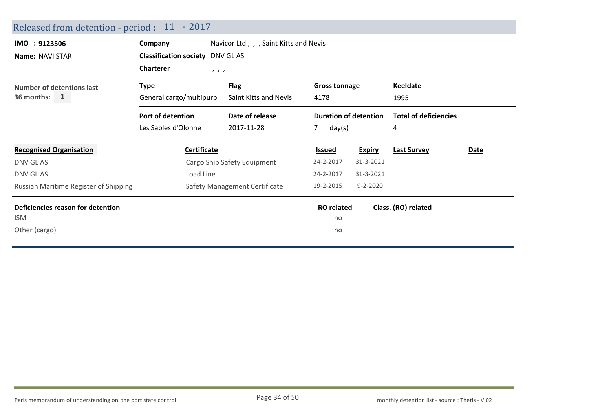| Released from detention - period : 11 - 2017 |                                        |                                      |                              |                |                              |      |
|----------------------------------------------|----------------------------------------|--------------------------------------|------------------------------|----------------|------------------------------|------|
| IMO : 9123506                                | Company                                | Navicor Ltd,, Saint Kitts and Nevis  |                              |                |                              |      |
| Name: NAVI STAR                              | <b>Classification society DNV GLAS</b> |                                      |                              |                |                              |      |
|                                              | <b>Charterer</b><br>1, 1, 1            |                                      |                              |                |                              |      |
| Number of detentions last                    | <b>Type</b>                            | <b>Flag</b><br>Saint Kitts and Nevis | <b>Gross tonnage</b>         |                | <b>Keeldate</b>              |      |
| $\mathbf{1}$<br>36 months:                   | General cargo/multipurp                |                                      | 4178                         |                | 1995                         |      |
|                                              | Port of detention                      | Date of release                      | <b>Duration of detention</b> |                | <b>Total of deficiencies</b> |      |
|                                              | Les Sables d'Olonne                    | 2017-11-28                           | $7^{\circ}$<br>day(s)        |                | 4                            |      |
| <b>Recognised Organisation</b>               | <b>Certificate</b>                     |                                      | <b>Issued</b>                | <b>Expiry</b>  | <b>Last Survey</b>           | Date |
| DNV GL AS                                    |                                        | Cargo Ship Safety Equipment          | 24-2-2017                    | 31-3-2021      |                              |      |
| DNV GL AS                                    | Load Line                              |                                      | 24-2-2017                    | 31-3-2021      |                              |      |
| Russian Maritime Register of Shipping        |                                        | Safety Management Certificate        | 19-2-2015                    | $9 - 2 - 2020$ |                              |      |
| Deficiencies reason for detention            |                                        |                                      | <b>RO</b> related            |                | Class. (RO) related          |      |
| ISM                                          |                                        |                                      | no                           |                |                              |      |
| Other (cargo)                                |                                        |                                      | no                           |                |                              |      |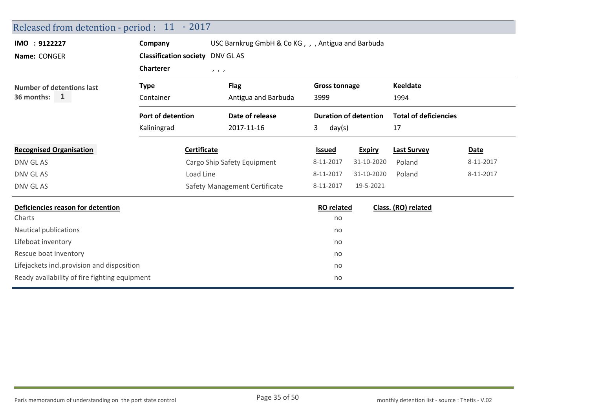| Released from detention - period : 11 - 2017  |                                        |                                                    |                      |                              |                              |             |  |  |
|-----------------------------------------------|----------------------------------------|----------------------------------------------------|----------------------|------------------------------|------------------------------|-------------|--|--|
| IMO : 9122227                                 | Company                                | USC Barnkrug GmbH & Co KG, , , Antigua and Barbuda |                      |                              |                              |             |  |  |
| Name: CONGER                                  | <b>Classification society DNV GLAS</b> |                                                    |                      |                              |                              |             |  |  |
|                                               | <b>Charterer</b>                       | 1, 1, 1                                            |                      |                              |                              |             |  |  |
| <b>Number of detentions last</b>              | <b>Type</b>                            | <b>Flag</b>                                        | <b>Gross tonnage</b> |                              | <b>Keeldate</b>              |             |  |  |
| 36 months:<br>$\mathbf{1}$                    | Container                              | Antigua and Barbuda                                | 3999                 |                              | 1994                         |             |  |  |
|                                               | Port of detention                      | Date of release                                    |                      | <b>Duration of detention</b> | <b>Total of deficiencies</b> |             |  |  |
|                                               | Kaliningrad                            | 2017-11-16                                         | 3<br>day(s)          |                              | 17                           |             |  |  |
| <b>Recognised Organisation</b>                | Certificate                            |                                                    | <b>Issued</b>        | <b>Expiry</b>                | <b>Last Survey</b>           | <b>Date</b> |  |  |
| DNV GL AS                                     |                                        | Cargo Ship Safety Equipment                        | 8-11-2017            | 31-10-2020                   | Poland                       | 8-11-2017   |  |  |
| DNV GL AS                                     | Load Line                              |                                                    | 8-11-2017            | 31-10-2020                   | Poland                       | 8-11-2017   |  |  |
| DNV GL AS                                     |                                        | Safety Management Certificate                      | 8-11-2017            | 19-5-2021                    |                              |             |  |  |
| Deficiencies reason for detention             |                                        |                                                    | <b>RO</b> related    |                              | Class. (RO) related          |             |  |  |
| Charts                                        |                                        |                                                    | no                   |                              |                              |             |  |  |
| Nautical publications                         |                                        |                                                    | no                   |                              |                              |             |  |  |
| Lifeboat inventory                            |                                        |                                                    | no                   |                              |                              |             |  |  |
| Rescue boat inventory                         |                                        |                                                    | no                   |                              |                              |             |  |  |
| Lifejackets incl.provision and disposition    |                                        |                                                    | no                   |                              |                              |             |  |  |
| Ready availability of fire fighting equipment |                                        |                                                    | no                   |                              |                              |             |  |  |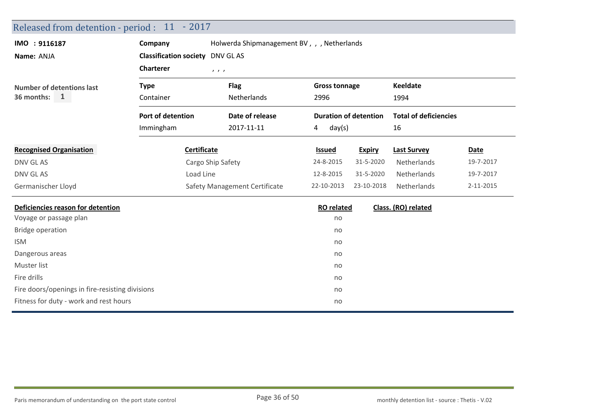| Released from detention - period : 11 - 2017    |                                        |                                             |                      |                              |                              |           |
|-------------------------------------------------|----------------------------------------|---------------------------------------------|----------------------|------------------------------|------------------------------|-----------|
| IMO : 9116187                                   | Company                                | Holwerda Shipmanagement BV, , , Netherlands |                      |                              |                              |           |
| Name: ANJA                                      | <b>Classification society DNV GLAS</b> |                                             |                      |                              |                              |           |
|                                                 | <b>Charterer</b><br>1, 1, 1            |                                             |                      |                              |                              |           |
| <b>Number of detentions last</b>                | <b>Type</b>                            | <b>Flag</b>                                 | <b>Gross tonnage</b> |                              | <b>Keeldate</b>              |           |
| 36 months:<br>$\mathbf{1}$                      | Container                              | Netherlands                                 | 2996                 |                              |                              |           |
|                                                 | Port of detention                      | Date of release                             |                      | <b>Duration of detention</b> | <b>Total of deficiencies</b> |           |
|                                                 | Immingham                              | 2017-11-11                                  | day(s)<br>4          |                              | 16                           |           |
| <b>Recognised Organisation</b>                  | Certificate                            |                                             | <b>Issued</b>        | <b>Expiry</b>                | <b>Last Survey</b>           | Date      |
| DNV GL AS                                       |                                        | Cargo Ship Safety                           | 24-8-2015            | 31-5-2020                    | Netherlands                  | 19-7-2017 |
| DNV GL AS                                       | Load Line                              |                                             | 12-8-2015            | 31-5-2020                    | Netherlands                  | 19-7-2017 |
| Germanischer Lloyd                              |                                        | Safety Management Certificate               | 22-10-2013           | 23-10-2018                   | Netherlands                  | 2-11-2015 |
| Deficiencies reason for detention               |                                        |                                             | <b>RO</b> related    |                              | Class. (RO) related          |           |
| Voyage or passage plan                          |                                        |                                             | no                   |                              |                              |           |
| <b>Bridge operation</b>                         |                                        |                                             | no                   |                              |                              |           |
| <b>ISM</b>                                      |                                        |                                             | no                   |                              |                              |           |
| Dangerous areas                                 |                                        |                                             | no                   |                              |                              |           |
| Muster list                                     |                                        |                                             | no                   |                              |                              |           |
| Fire drills                                     |                                        |                                             | no                   |                              |                              |           |
| Fire doors/openings in fire-resisting divisions |                                        |                                             | no                   |                              |                              |           |
| Fitness for duty - work and rest hours          |                                        |                                             | no                   |                              |                              |           |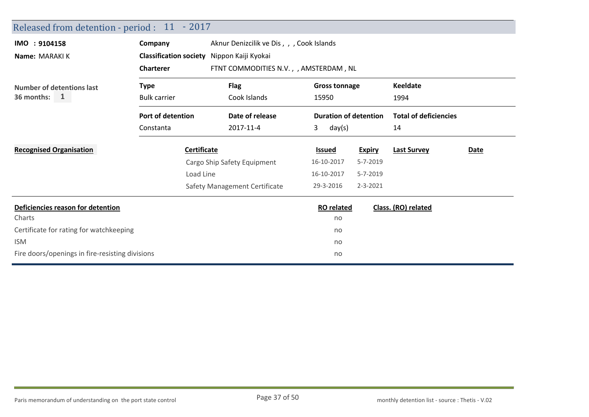| Released from detention - period : 11 - 2017    |                                            |                                           |                                                               |                |                                                         |      |  |  |
|-------------------------------------------------|--------------------------------------------|-------------------------------------------|---------------------------------------------------------------|----------------|---------------------------------------------------------|------|--|--|
| IMO : 9104158                                   | Company                                    | Aknur Denizcilik ve Dis, , , Cook Islands |                                                               |                |                                                         |      |  |  |
| Name: MARAKI K                                  | Classification society Nippon Kaiji Kyokai |                                           |                                                               |                |                                                         |      |  |  |
|                                                 | <b>Charterer</b>                           | FTNT COMMODITIES N.V., , AMSTERDAM, NL    |                                                               |                |                                                         |      |  |  |
| <b>Number of detentions last</b>                | Type                                       | <b>Flag</b>                               | <b>Gross tonnage</b><br>15950<br><b>Duration of detention</b> |                | <b>Keeldate</b><br>1994<br><b>Total of deficiencies</b> |      |  |  |
| $\mathbf{1}$<br>36 months:                      | <b>Bulk carrier</b>                        | Cook Islands                              |                                                               |                |                                                         |      |  |  |
|                                                 | Port of detention                          | Date of release                           |                                                               |                |                                                         |      |  |  |
|                                                 | Constanta                                  | 2017-11-4                                 | 3<br>day(s)                                                   |                | 14                                                      |      |  |  |
| <b>Recognised Organisation</b>                  | <b>Certificate</b>                         |                                           | <b>Issued</b>                                                 | <b>Expiry</b>  | <b>Last Survey</b>                                      | Date |  |  |
|                                                 |                                            | Cargo Ship Safety Equipment               | 16-10-2017                                                    | $5 - 7 - 2019$ |                                                         |      |  |  |
|                                                 | Load Line                                  |                                           | 16-10-2017                                                    | 5-7-2019       |                                                         |      |  |  |
|                                                 |                                            | Safety Management Certificate             | 29-3-2016                                                     | 2-3-2021       |                                                         |      |  |  |
| Deficiencies reason for detention               |                                            |                                           | <b>RO</b> related                                             |                | Class. (RO) related                                     |      |  |  |
| Charts                                          |                                            |                                           | no                                                            |                |                                                         |      |  |  |
| Certificate for rating for watchkeeping         |                                            |                                           | no                                                            |                |                                                         |      |  |  |
| <b>ISM</b>                                      |                                            |                                           | no                                                            |                |                                                         |      |  |  |
| Fire doors/openings in fire-resisting divisions |                                            |                                           | no                                                            |                |                                                         |      |  |  |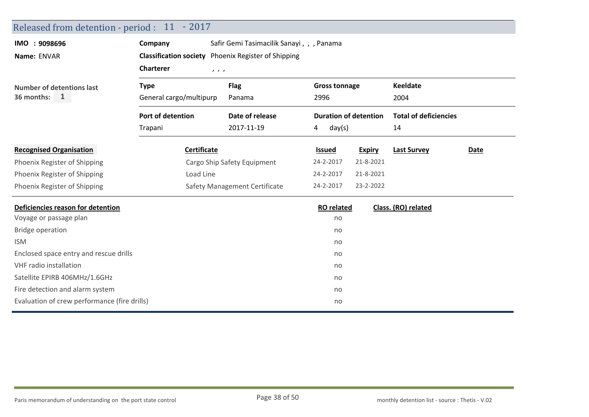| Released from detention - period : 11 - 2017 |                                   |                                                            |                              |               |                              |      |
|----------------------------------------------|-----------------------------------|------------------------------------------------------------|------------------------------|---------------|------------------------------|------|
| IMO : 9098696                                | Company                           | Safir Gemi Tasimacilik Sanayi, , , Panama                  |                              |               |                              |      |
| Name: ENVAR                                  |                                   | <b>Classification society</b> Phoenix Register of Shipping |                              |               |                              |      |
|                                              | <b>Charterer</b>                  | 1, 1, 1                                                    |                              |               |                              |      |
| <b>Number of detentions last</b>             | <b>Type</b>                       | <b>Flag</b>                                                | <b>Gross tonnage</b>         |               | <b>Keeldate</b>              |      |
| 36 months: 1                                 | General cargo/multipurp<br>Panama |                                                            | 2996                         |               | 2004                         |      |
|                                              | <b>Port of detention</b>          | Date of release                                            | <b>Duration of detention</b> |               | <b>Total of deficiencies</b> |      |
|                                              | Trapani                           | 2017-11-19                                                 | day(s)<br>4                  |               | 14                           |      |
| <b>Recognised Organisation</b>               | <b>Certificate</b>                |                                                            | <b>Issued</b>                | <b>Expiry</b> | <b>Last Survey</b>           | Date |
| Phoenix Register of Shipping                 |                                   | Cargo Ship Safety Equipment                                | 24-2-2017                    | 21-8-2021     |                              |      |
| Phoenix Register of Shipping                 | Load Line                         |                                                            | 24-2-2017                    | 21-8-2021     |                              |      |
| Phoenix Register of Shipping                 |                                   | Safety Management Certificate                              | 24-2-2017                    | 23-2-2022     |                              |      |
| Deficiencies reason for detention            |                                   |                                                            | <b>RO</b> related            |               | Class. (RO) related          |      |
| Voyage or passage plan                       |                                   |                                                            | no                           |               |                              |      |
| <b>Bridge operation</b>                      |                                   |                                                            | no                           |               |                              |      |
| <b>ISM</b>                                   |                                   |                                                            | no                           |               |                              |      |
| Enclosed space entry and rescue drills       |                                   |                                                            | no                           |               |                              |      |
| <b>VHF</b> radio installation                |                                   |                                                            | no                           |               |                              |      |
| Satellite EPIRB 406MHz/1.6GHz                |                                   |                                                            | no                           |               |                              |      |
| Fire detection and alarm system              |                                   |                                                            | no                           |               |                              |      |
| Evaluation of crew performance (fire drills) |                                   |                                                            | no                           |               |                              |      |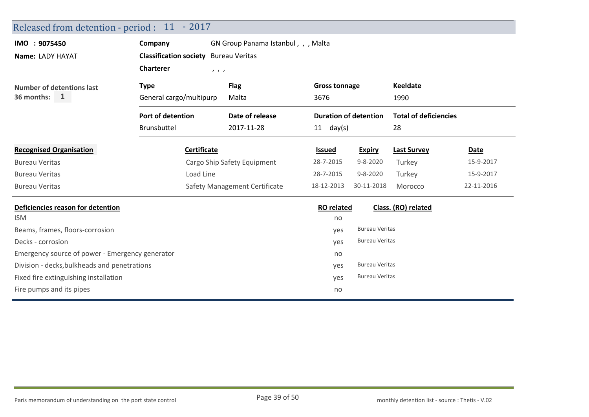| Released from detention - period : 11 - 2017    |                                          |                               |                                     |                      |                              |                              |            |
|-------------------------------------------------|------------------------------------------|-------------------------------|-------------------------------------|----------------------|------------------------------|------------------------------|------------|
| IMO : 9075450                                   | Company                                  |                               | GN Group Panama Istanbul, , , Malta |                      |                              |                              |            |
| Name: LADY HAYAT                                | <b>Classification society</b>            | <b>Bureau Veritas</b>         |                                     |                      |                              |                              |            |
|                                                 | <b>Charterer</b>                         | 1, 1, 1                       |                                     |                      |                              |                              |            |
| <b>Number of detentions last</b>                | <b>Type</b>                              | <b>Flag</b>                   |                                     | <b>Gross tonnage</b> |                              | <b>Keeldate</b>              |            |
| 36 months:<br>$\mathbf{1}$                      | General cargo/multipurp<br>Malta<br>3676 |                               |                                     | 1990                 |                              |                              |            |
|                                                 | Port of detention                        | Date of release               |                                     |                      | <b>Duration of detention</b> | <b>Total of deficiencies</b> |            |
|                                                 | <b>Brunsbuttel</b>                       | 2017-11-28                    |                                     | $11$ day(s)          |                              | 28                           |            |
| <b>Recognised Organisation</b>                  | Certificate                              |                               |                                     | <b>Issued</b>        | <b>Expiry</b>                | <b>Last Survey</b>           | Date       |
| <b>Bureau Veritas</b>                           |                                          | Cargo Ship Safety Equipment   |                                     | 28-7-2015            | $9 - 8 - 2020$               | Turkey                       | 15-9-2017  |
| <b>Bureau Veritas</b>                           | Load Line                                |                               |                                     | 28-7-2015            | $9 - 8 - 2020$               | Turkey                       | 15-9-2017  |
| <b>Bureau Veritas</b>                           |                                          | Safety Management Certificate |                                     | 18-12-2013           | 30-11-2018                   | Morocco                      | 22-11-2016 |
| Deficiencies reason for detention               |                                          |                               |                                     | <b>RO</b> related    |                              | Class. (RO) related          |            |
| <b>ISM</b>                                      |                                          |                               |                                     | no                   |                              |                              |            |
| Beams, frames, floors-corrosion                 |                                          |                               |                                     | yes                  | <b>Bureau Veritas</b>        |                              |            |
| Decks - corrosion                               |                                          |                               |                                     | yes                  | <b>Bureau Veritas</b>        |                              |            |
| Emergency source of power - Emergency generator |                                          |                               |                                     | no                   |                              |                              |            |
| Division - decks, bulkheads and penetrations    |                                          |                               |                                     | yes                  | <b>Bureau Veritas</b>        |                              |            |
| Fixed fire extinguishing installation           |                                          |                               |                                     | yes                  | <b>Bureau Veritas</b>        |                              |            |
| Fire pumps and its pipes                        |                                          |                               |                                     | no                   |                              |                              |            |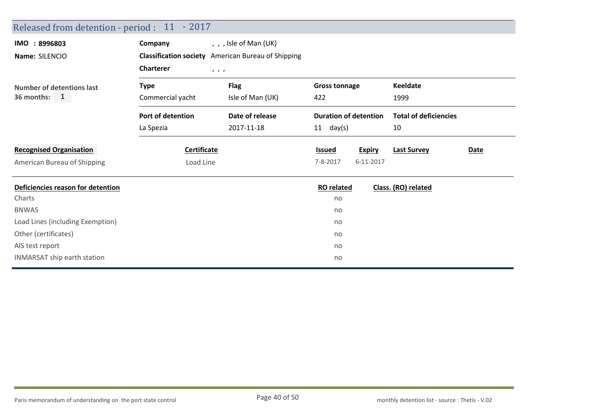| Released from detention - period : 11 - 2017 |                   |                                                           |                              |               |                              |      |
|----------------------------------------------|-------------------|-----------------------------------------------------------|------------------------------|---------------|------------------------------|------|
| IMO : 8996803                                | Company           | , , , Isle of Man (UK)                                    |                              |               |                              |      |
| Name: SILENCIO                               |                   | <b>Classification society</b> American Bureau of Shipping |                              |               |                              |      |
|                                              | <b>Charterer</b>  | $\qquad \qquad$                                           |                              |               |                              |      |
| Number of detentions last                    | <b>Type</b>       | <b>Flag</b>                                               | <b>Gross tonnage</b>         |               | <b>Keeldate</b>              |      |
| 36 months:<br><sup>1</sup>                   | Commercial yacht  | Isle of Man (UK)                                          | 422                          |               | 1999                         |      |
|                                              | Port of detention | Date of release                                           | <b>Duration of detention</b> |               | <b>Total of deficiencies</b> |      |
|                                              | La Spezia         | 2017-11-18                                                | 11<br>day(s)                 |               | 10                           |      |
| <b>Recognised Organisation</b>               | Certificate       |                                                           | <b>Issued</b>                | <b>Expiry</b> | <b>Last Survey</b>           | Date |
| American Bureau of Shipping                  | Load Line         |                                                           | $7 - 8 - 2017$               | 6-11-2017     |                              |      |
| Deficiencies reason for detention            |                   |                                                           | <b>RO</b> related            |               | Class. (RO) related          |      |
| Charts                                       |                   |                                                           | no                           |               |                              |      |
| <b>BNWAS</b>                                 |                   |                                                           | no                           |               |                              |      |
| Load Lines (including Exemption)             |                   |                                                           | no                           |               |                              |      |
| Other (certificates)                         |                   |                                                           | no                           |               |                              |      |
| AIS test report                              |                   |                                                           | no                           |               |                              |      |
|                                              |                   |                                                           |                              |               |                              |      |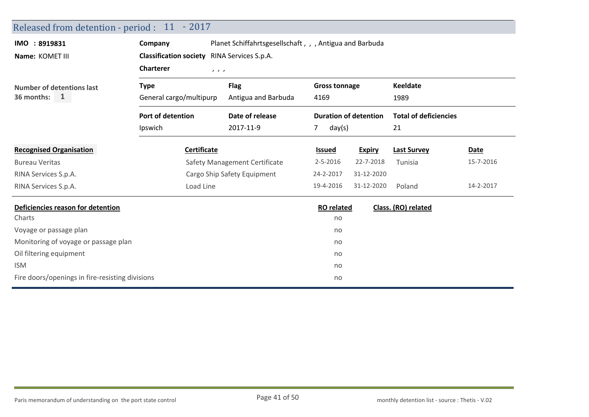| Released from detention - period : 11 - 2017    |                                                                                                                             |                               |                      |                              |                              |           |  |
|-------------------------------------------------|-----------------------------------------------------------------------------------------------------------------------------|-------------------------------|----------------------|------------------------------|------------------------------|-----------|--|
| IMO : 8919831<br>Name: KOMET III                | Planet Schiffahrtsgesellschaft, , , Antigua and Barbuda<br>Company<br><b>Classification society</b><br>RINA Services S.p.A. |                               |                      |                              |                              |           |  |
|                                                 | <b>Charterer</b><br>1, 1, 1                                                                                                 |                               |                      |                              |                              |           |  |
| <b>Number of detentions last</b>                | <b>Type</b>                                                                                                                 | <b>Flag</b>                   | <b>Gross tonnage</b> |                              | <b>Keeldate</b>              |           |  |
| 36 months: $1$                                  | General cargo/multipurp                                                                                                     | Antigua and Barbuda           | 4169                 |                              | 1989                         |           |  |
|                                                 | Port of detention                                                                                                           | Date of release               |                      | <b>Duration of detention</b> | <b>Total of deficiencies</b> |           |  |
|                                                 | Ipswich                                                                                                                     | 2017-11-9                     | day(s)<br>7.         |                              | 21                           |           |  |
| <b>Recognised Organisation</b>                  | Certificate                                                                                                                 |                               | <b>Issued</b>        | <b>Expiry</b>                | <b>Last Survey</b>           | Date      |  |
| <b>Bureau Veritas</b>                           |                                                                                                                             | Safety Management Certificate | $2 - 5 - 2016$       | 22-7-2018                    | Tunisia                      | 15-7-2016 |  |
| RINA Services S.p.A.                            |                                                                                                                             | Cargo Ship Safety Equipment   | 24-2-2017            | 31-12-2020                   |                              |           |  |
| RINA Services S.p.A.                            | Load Line                                                                                                                   |                               | 19-4-2016            | 31-12-2020                   | Poland                       | 14-2-2017 |  |
| Deficiencies reason for detention               |                                                                                                                             |                               | <b>RO</b> related    |                              | Class. (RO) related          |           |  |
| Charts                                          |                                                                                                                             |                               | no                   |                              |                              |           |  |
| Voyage or passage plan                          |                                                                                                                             |                               | no                   |                              |                              |           |  |
| Monitoring of voyage or passage plan            |                                                                                                                             |                               | no                   |                              |                              |           |  |
| Oil filtering equipment                         |                                                                                                                             |                               | no                   |                              |                              |           |  |
| <b>ISM</b>                                      |                                                                                                                             |                               | no                   |                              |                              |           |  |
| Fire doors/openings in fire-resisting divisions |                                                                                                                             |                               | no                   |                              |                              |           |  |
|                                                 |                                                                                                                             |                               |                      |                              |                              |           |  |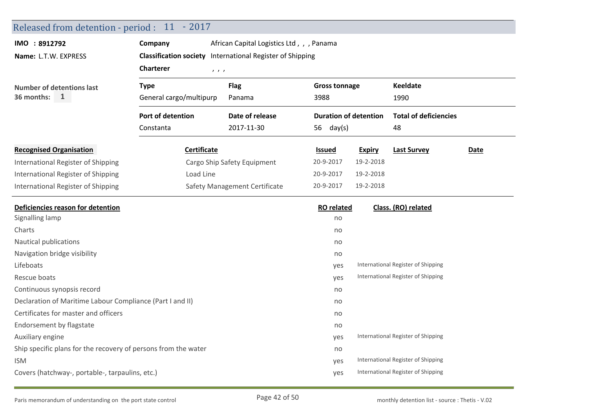|                                                                | Released from detention - period : 11 - 2017              |                                          |                              |               |                                    |      |
|----------------------------------------------------------------|-----------------------------------------------------------|------------------------------------------|------------------------------|---------------|------------------------------------|------|
| IMO : 8912792                                                  | Company                                                   | African Capital Logistics Ltd,, , Panama |                              |               |                                    |      |
| Name: L.T.W. EXPRESS                                           | Classification society International Register of Shipping |                                          |                              |               |                                    |      |
|                                                                | <b>Charterer</b><br>1, 1, 1                               |                                          |                              |               |                                    |      |
| <b>Number of detentions last</b>                               | <b>Type</b>                                               | <b>Flag</b>                              | <b>Gross tonnage</b>         |               | <b>Keeldate</b>                    |      |
| 36 months:<br>$\mathbf{1}$                                     | General cargo/multipurp                                   | Panama                                   | 3988                         |               | 1990                               |      |
|                                                                | Port of detention                                         | Date of release                          | <b>Duration of detention</b> |               | <b>Total of deficiencies</b>       |      |
|                                                                | Constanta                                                 | 2017-11-30                               | 56 $day(s)$                  |               | 48                                 |      |
| <b>Recognised Organisation</b>                                 | <b>Certificate</b>                                        |                                          | <b>Issued</b>                | <b>Expiry</b> | <b>Last Survey</b>                 | Date |
| International Register of Shipping                             |                                                           | Cargo Ship Safety Equipment              | 20-9-2017                    | 19-2-2018     |                                    |      |
| International Register of Shipping                             | Load Line                                                 |                                          | 20-9-2017                    | 19-2-2018     |                                    |      |
| International Register of Shipping                             |                                                           | Safety Management Certificate            | 20-9-2017                    | 19-2-2018     |                                    |      |
| Deficiencies reason for detention                              |                                                           |                                          | <b>RO</b> related            |               | Class. (RO) related                |      |
| Signalling lamp                                                |                                                           |                                          | no                           |               |                                    |      |
| Charts                                                         |                                                           |                                          |                              |               |                                    |      |
|                                                                |                                                           |                                          | no                           |               |                                    |      |
| Nautical publications                                          |                                                           |                                          | no                           |               |                                    |      |
| Navigation bridge visibility                                   |                                                           |                                          | no                           |               |                                    |      |
| Lifeboats                                                      |                                                           |                                          | yes                          |               | International Register of Shipping |      |
| Rescue boats                                                   |                                                           |                                          | yes                          |               | International Register of Shipping |      |
| Continuous synopsis record                                     |                                                           |                                          | no                           |               |                                    |      |
| Declaration of Maritime Labour Compliance (Part I and II)      |                                                           |                                          | no                           |               |                                    |      |
| Certificates for master and officers                           |                                                           |                                          | no                           |               |                                    |      |
| Endorsement by flagstate                                       |                                                           |                                          | no                           |               |                                    |      |
| Auxiliary engine                                               |                                                           |                                          | yes                          |               | International Register of Shipping |      |
| Ship specific plans for the recovery of persons from the water |                                                           |                                          | no                           |               |                                    |      |
| <b>ISM</b>                                                     |                                                           |                                          | yes                          |               | International Register of Shipping |      |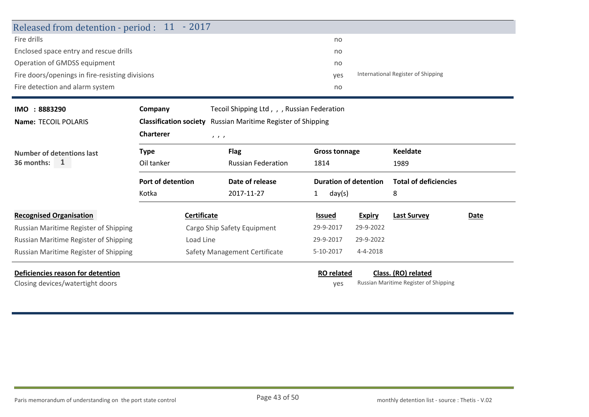| Released from detention - period : 11 - 2017    |                               |                                             |                                           |                              |                                       |      |  |
|-------------------------------------------------|-------------------------------|---------------------------------------------|-------------------------------------------|------------------------------|---------------------------------------|------|--|
| Fire drills                                     |                               |                                             | no                                        |                              |                                       |      |  |
| Enclosed space entry and rescue drills          |                               |                                             | no                                        |                              |                                       |      |  |
| Operation of GMDSS equipment                    |                               |                                             | no                                        |                              |                                       |      |  |
| Fire doors/openings in fire-resisting divisions |                               |                                             | International Register of Shipping<br>yes |                              |                                       |      |  |
| Fire detection and alarm system                 | no                            |                                             |                                           |                              |                                       |      |  |
| IMO : 8883290                                   | Company                       | Tecoil Shipping Ltd, , , Russian Federation |                                           |                              |                                       |      |  |
| Name: TECOIL POLARIS                            | <b>Classification society</b> | Russian Maritime Register of Shipping       |                                           |                              |                                       |      |  |
|                                                 | <b>Charterer</b>              | 1, 1, 1                                     |                                           |                              |                                       |      |  |
| <b>Number of detentions last</b>                | <b>Type</b>                   | <b>Flag</b>                                 | <b>Gross tonnage</b>                      |                              | <b>Keeldate</b>                       |      |  |
| 36 months:<br>$\mathbf{1}$                      | Oil tanker                    | <b>Russian Federation</b>                   | 1814                                      |                              | 1989                                  |      |  |
|                                                 | <b>Port of detention</b>      | Date of release                             |                                           | <b>Duration of detention</b> | <b>Total of deficiencies</b>          |      |  |
|                                                 | Kotka                         | 2017-11-27                                  | day(s)<br>1                               |                              | 8                                     |      |  |
| <b>Recognised Organisation</b>                  | Certificate                   |                                             | Issued                                    | <b>Expiry</b>                | <b>Last Survey</b>                    | Date |  |
| Russian Maritime Register of Shipping           |                               | Cargo Ship Safety Equipment                 | 29-9-2017                                 | 29-9-2022                    |                                       |      |  |
| Russian Maritime Register of Shipping           | Load Line                     |                                             | 29-9-2017                                 | 29-9-2022                    |                                       |      |  |
| Russian Maritime Register of Shipping           |                               | Safety Management Certificate               | 5-10-2017                                 | 4-4-2018                     |                                       |      |  |
| Deficiencies reason for detention               |                               |                                             | <b>RO</b> related                         |                              | Class. (RO) related                   |      |  |
| Closing devices/watertight doors                |                               |                                             | yes                                       |                              | Russian Maritime Register of Shipping |      |  |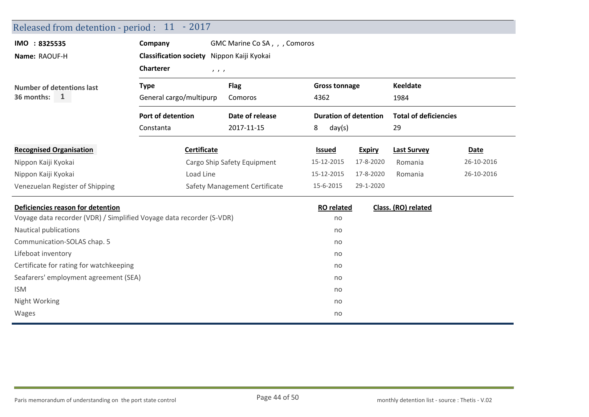| Released from detention - period : 11 - 2017                         |                                                      |                               |                   |                              |                              |            |  |  |
|----------------------------------------------------------------------|------------------------------------------------------|-------------------------------|-------------------|------------------------------|------------------------------|------------|--|--|
| IMO : 8325535                                                        | Company                                              | GMC Marine Co SA, , , Comoros |                   |                              |                              |            |  |  |
| Name: RAOUF-H                                                        | <b>Classification society</b><br>Nippon Kaiji Kyokai |                               |                   |                              |                              |            |  |  |
|                                                                      | <b>Charterer</b><br>1, 1, 1                          |                               |                   |                              |                              |            |  |  |
| <b>Number of detentions last</b>                                     | <b>Type</b>                                          | <b>Flag</b>                   |                   | <b>Gross tonnage</b>         |                              |            |  |  |
| 36 months:<br>1                                                      | General cargo/multipurp                              | Comoros                       | 4362              |                              | 1984                         |            |  |  |
|                                                                      | Port of detention                                    | Date of release               |                   | <b>Duration of detention</b> | <b>Total of deficiencies</b> |            |  |  |
|                                                                      | Constanta                                            | 2017-11-15                    | 8<br>day(s)       |                              | 29                           |            |  |  |
| <b>Recognised Organisation</b>                                       | Certificate                                          |                               | <b>Issued</b>     | <b>Expiry</b>                | <b>Last Survey</b>           | Date       |  |  |
| Nippon Kaiji Kyokai                                                  | Cargo Ship Safety Equipment                          |                               | 15-12-2015        | 17-8-2020                    | Romania                      | 26-10-2016 |  |  |
| Nippon Kaiji Kyokai                                                  | Load Line                                            |                               | 15-12-2015        | 17-8-2020                    | Romania                      | 26-10-2016 |  |  |
| Venezuelan Register of Shipping                                      |                                                      | Safety Management Certificate | 15-6-2015         | 29-1-2020                    |                              |            |  |  |
| Deficiencies reason for detention                                    |                                                      |                               | <b>RO</b> related |                              | Class. (RO) related          |            |  |  |
| Voyage data recorder (VDR) / Simplified Voyage data recorder (S-VDR) |                                                      |                               | no                |                              |                              |            |  |  |
| Nautical publications                                                |                                                      |                               | no                |                              |                              |            |  |  |
| Communication-SOLAS chap. 5                                          |                                                      |                               | no                |                              |                              |            |  |  |
| Lifeboat inventory                                                   |                                                      |                               | no                |                              |                              |            |  |  |
| Certificate for rating for watchkeeping                              |                                                      |                               | no                |                              |                              |            |  |  |
| Seafarers' employment agreement (SEA)                                |                                                      |                               | no                |                              |                              |            |  |  |
| <b>ISM</b>                                                           |                                                      |                               | no                |                              |                              |            |  |  |
| Night Working                                                        |                                                      |                               | no                |                              |                              |            |  |  |
| Wages                                                                |                                                      |                               | no                |                              |                              |            |  |  |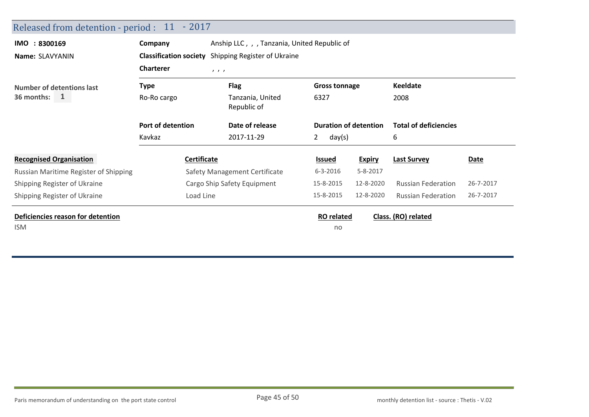| Released from detention - period : 11 - 2017 |                                                            |                                 |                                                              |               |                                                         |           |  |  |  |
|----------------------------------------------|------------------------------------------------------------|---------------------------------|--------------------------------------------------------------|---------------|---------------------------------------------------------|-----------|--|--|--|
| IMO : 8300169                                | Anship LLC, , , Tanzania, United Republic of<br>Company    |                                 |                                                              |               |                                                         |           |  |  |  |
| Name: SLAVYANIN                              | <b>Classification society</b> Shipping Register of Ukraine |                                 |                                                              |               |                                                         |           |  |  |  |
|                                              | <b>Charterer</b><br>1, 1, 1                                |                                 |                                                              |               |                                                         |           |  |  |  |
| <b>Number of detentions last</b>             | <b>Type</b>                                                | <b>Flag</b>                     | <b>Gross tonnage</b><br>6327<br><b>Duration of detention</b> |               | <b>Keeldate</b><br>2008<br><b>Total of deficiencies</b> |           |  |  |  |
| 36 months:<br>1                              | Ro-Ro cargo                                                | Tanzania, United<br>Republic of |                                                              |               |                                                         |           |  |  |  |
|                                              | Port of detention                                          | Date of release                 |                                                              |               |                                                         |           |  |  |  |
|                                              | Kavkaz                                                     | 2017-11-29                      | $\mathbf{2}$<br>day(s)                                       |               | 6                                                       |           |  |  |  |
| <b>Recognised Organisation</b>               | Certificate                                                |                                 | <b>Issued</b>                                                | <b>Expiry</b> | <b>Last Survey</b>                                      | Date      |  |  |  |
| Russian Maritime Register of Shipping        | Safety Management Certificate                              |                                 | $6 - 3 - 2016$                                               | 5-8-2017      |                                                         |           |  |  |  |
| Shipping Register of Ukraine                 | Cargo Ship Safety Equipment                                |                                 | 15-8-2015                                                    | 12-8-2020     | <b>Russian Federation</b>                               | 26-7-2017 |  |  |  |
| Shipping Register of Ukraine                 | Load Line                                                  |                                 | 15-8-2015                                                    | 12-8-2020     | <b>Russian Federation</b>                               | 26-7-2017 |  |  |  |
| Deficiencies reason for detention            |                                                            |                                 | <b>RO</b> related                                            |               | Class. (RO) related                                     |           |  |  |  |
| <b>ISM</b>                                   |                                                            |                                 | no                                                           |               |                                                         |           |  |  |  |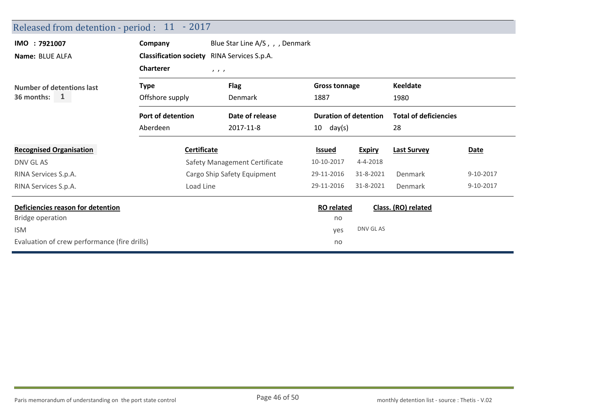| Released from detention - period : 11 - 2017       |                                                       |                        |                                                              |                     |                              |           |  |  |
|----------------------------------------------------|-------------------------------------------------------|------------------------|--------------------------------------------------------------|---------------------|------------------------------|-----------|--|--|
| IMO : 7921007                                      | Blue Star Line A/S, , , Denmark<br>Company            |                        |                                                              |                     |                              |           |  |  |
| Name: BLUE ALFA                                    | <b>Classification society</b><br>RINA Services S.p.A. |                        |                                                              |                     |                              |           |  |  |
|                                                    | <b>Charterer</b><br>111                               |                        |                                                              |                     |                              |           |  |  |
| <b>Number of detentions last</b>                   | <b>Type</b>                                           | <b>Flag</b><br>Denmark | <b>Gross tonnage</b><br>1887<br><b>Duration of detention</b> |                     | <b>Keeldate</b>              |           |  |  |
| 36 months: $1$                                     | Offshore supply                                       |                        |                                                              |                     | 1980                         |           |  |  |
|                                                    | Port of detention                                     | Date of release        |                                                              |                     | <b>Total of deficiencies</b> |           |  |  |
|                                                    | Aberdeen<br>2017-11-8<br>$10 \text{ day(s)}$          |                        |                                                              |                     | 28                           |           |  |  |
| <b>Recognised Organisation</b>                     | <b>Certificate</b>                                    |                        | <b>Issued</b>                                                | <b>Expiry</b>       | <b>Last Survey</b>           | Date      |  |  |
| DNV GL AS                                          | Safety Management Certificate                         |                        | 10-10-2017                                                   | 4-4-2018            |                              |           |  |  |
| RINA Services S.p.A.                               | Cargo Ship Safety Equipment                           |                        | 29-11-2016                                                   | 31-8-2021           | Denmark                      | 9-10-2017 |  |  |
| RINA Services S.p.A.                               | Load Line                                             |                        | 29-11-2016                                                   | 31-8-2021           | Denmark                      | 9-10-2017 |  |  |
| Deficiencies reason for detention                  |                                                       | <b>RO</b> related      |                                                              | Class. (RO) related |                              |           |  |  |
| <b>Bridge operation</b>                            |                                                       |                        | no                                                           |                     |                              |           |  |  |
| <b>ISM</b>                                         | yes                                                   | DNV GL AS              |                                                              |                     |                              |           |  |  |
| Evaluation of crew performance (fire drills)<br>no |                                                       |                        |                                                              |                     |                              |           |  |  |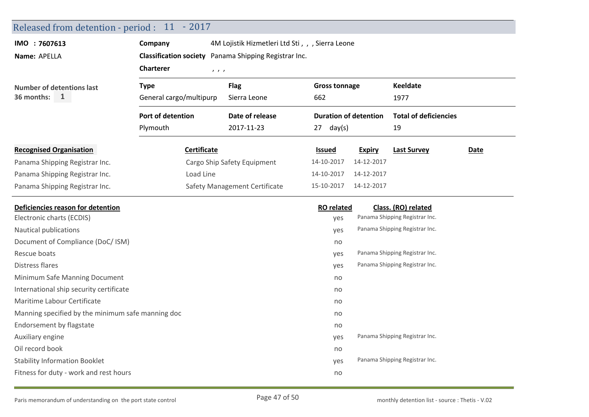| Released from detention - period : 11 - 2017      |                                                       |                                                  |                      |                              |                                |                              |  |  |  |
|---------------------------------------------------|-------------------------------------------------------|--------------------------------------------------|----------------------|------------------------------|--------------------------------|------------------------------|--|--|--|
| IMO : 7607613                                     | Company                                               | 4M Lojistik Hizmetleri Ltd Sti, , , Sierra Leone |                      |                              |                                |                              |  |  |  |
| Name: APELLA                                      | Classification society Panama Shipping Registrar Inc. |                                                  |                      |                              |                                |                              |  |  |  |
|                                                   | <b>Charterer</b><br>1, 1, 1                           |                                                  |                      |                              |                                |                              |  |  |  |
| <b>Number of detentions last</b>                  | <b>Type</b>                                           | <b>Flag</b>                                      | <b>Gross tonnage</b> |                              | <b>Keeldate</b>                |                              |  |  |  |
| 36 months:<br>$\mathbf{1}$                        | General cargo/multipurp                               | Sierra Leone                                     | 662                  |                              | 1977                           |                              |  |  |  |
|                                                   | Port of detention                                     | Date of release                                  |                      | <b>Duration of detention</b> |                                | <b>Total of deficiencies</b> |  |  |  |
|                                                   | Plymouth                                              | 2017-11-23                                       | $27 \text{ day(s)}$  |                              | 19                             |                              |  |  |  |
| <b>Recognised Organisation</b>                    | <b>Certificate</b>                                    |                                                  | <b>Issued</b>        | <b>Expiry</b>                | <b>Last Survey</b>             | <b>Date</b>                  |  |  |  |
| Panama Shipping Registrar Inc.                    |                                                       | Cargo Ship Safety Equipment                      | 14-10-2017           | 14-12-2017                   |                                |                              |  |  |  |
| Panama Shipping Registrar Inc.                    | Load Line                                             |                                                  | 14-10-2017           | 14-12-2017                   |                                |                              |  |  |  |
| Panama Shipping Registrar Inc.                    |                                                       | Safety Management Certificate                    | 15-10-2017           | 14-12-2017                   |                                |                              |  |  |  |
| Deficiencies reason for detention                 |                                                       |                                                  | <b>RO</b> related    |                              | Class. (RO) related            |                              |  |  |  |
| Electronic charts (ECDIS)                         |                                                       |                                                  | yes                  |                              | Panama Shipping Registrar Inc. |                              |  |  |  |
| Nautical publications                             |                                                       |                                                  | yes                  |                              | Panama Shipping Registrar Inc. |                              |  |  |  |
| Document of Compliance (DoC/ ISM)                 |                                                       |                                                  | no                   |                              |                                |                              |  |  |  |
| Rescue boats                                      |                                                       |                                                  | yes                  |                              | Panama Shipping Registrar Inc. |                              |  |  |  |
| <b>Distress flares</b>                            |                                                       |                                                  | yes                  |                              | Panama Shipping Registrar Inc. |                              |  |  |  |
| Minimum Safe Manning Document                     |                                                       |                                                  | no                   |                              |                                |                              |  |  |  |
| International ship security certificate           |                                                       |                                                  | no                   |                              |                                |                              |  |  |  |
| Maritime Labour Certificate                       |                                                       |                                                  | no                   |                              |                                |                              |  |  |  |
| Manning specified by the minimum safe manning doc | no                                                    |                                                  |                      |                              |                                |                              |  |  |  |
| Endorsement by flagstate                          |                                                       |                                                  | no                   |                              |                                |                              |  |  |  |
| Auxiliary engine                                  |                                                       |                                                  | yes                  |                              | Panama Shipping Registrar Inc. |                              |  |  |  |
| Oil record book                                   |                                                       |                                                  | no                   |                              |                                |                              |  |  |  |
| <b>Stability Information Booklet</b>              |                                                       |                                                  | yes                  |                              | Panama Shipping Registrar Inc. |                              |  |  |  |
| Fitness for duty - work and rest hours            |                                                       |                                                  | no                   |                              |                                |                              |  |  |  |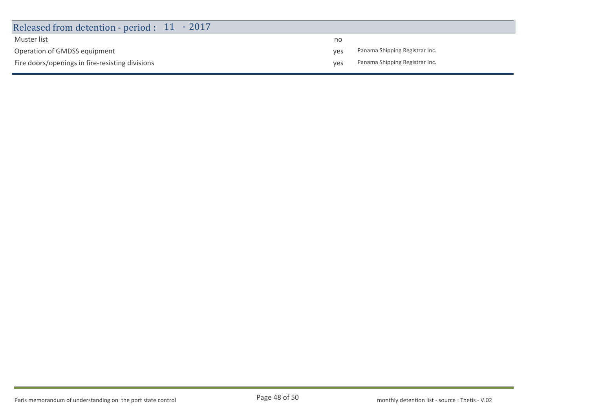| Released from detention - period : 11 - 2017    |     |                                |
|-------------------------------------------------|-----|--------------------------------|
| Muster list                                     | no  |                                |
| Operation of GMDSS equipment                    | ves | Panama Shipping Registrar Inc. |
| Fire doors/openings in fire-resisting divisions | ves | Panama Shipping Registrar Inc. |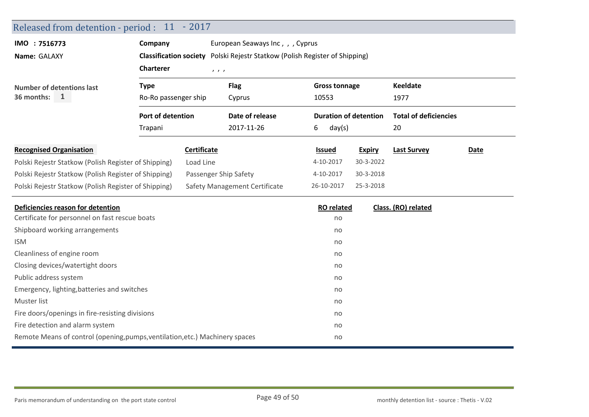| Released from detention - period : 11 - 2017                                  |                                                                             |                               |                 |             |                              |                    |                              |  |  |  |
|-------------------------------------------------------------------------------|-----------------------------------------------------------------------------|-------------------------------|-----------------|-------------|------------------------------|--------------------|------------------------------|--|--|--|
| IMO : 7516773                                                                 | Company<br>European Seaways Inc, , , Cyprus                                 |                               |                 |             |                              |                    |                              |  |  |  |
| Name: GALAXY                                                                  | Classification society Polski Rejestr Statkow (Polish Register of Shipping) |                               |                 |             |                              |                    |                              |  |  |  |
|                                                                               | <b>Charterer</b>                                                            | 1, 1, 1                       |                 |             |                              |                    |                              |  |  |  |
| <b>Number of detentions last</b>                                              | <b>Type</b>                                                                 |                               | <b>Flag</b>     |             | <b>Gross tonnage</b>         |                    | <b>Keeldate</b>              |  |  |  |
| $\mathbf{1}$<br>36 months:                                                    | Ro-Ro passenger ship                                                        |                               | Cyprus          | 10553       |                              |                    | 1977                         |  |  |  |
|                                                                               | Port of detention<br>Trapani                                                |                               | Date of release |             | <b>Duration of detention</b> |                    | <b>Total of deficiencies</b> |  |  |  |
|                                                                               |                                                                             |                               | 2017-11-26      | 6<br>day(s) |                              | 20                 |                              |  |  |  |
| <b>Recognised Organisation</b>                                                | Certificate                                                                 |                               | <b>Issued</b>   |             | <b>Expiry</b>                | <b>Last Survey</b> | <b>Date</b>                  |  |  |  |
| Polski Rejestr Statkow (Polish Register of Shipping)                          |                                                                             | Load Line                     |                 | 4-10-2017   |                              | 30-3-2022          |                              |  |  |  |
| Polski Rejestr Statkow (Polish Register of Shipping)<br>Passenger Ship Safety |                                                                             |                               |                 | 4-10-2017   |                              | 30-3-2018          |                              |  |  |  |
| Polski Rejestr Statkow (Polish Register of Shipping)                          |                                                                             | Safety Management Certificate | 26-10-2017      |             | 25-3-2018                    |                    |                              |  |  |  |
| Deficiencies reason for detention                                             |                                                                             |                               |                 |             | <b>RO</b> related            |                    | Class. (RO) related          |  |  |  |
| Certificate for personnel on fast rescue boats                                |                                                                             |                               |                 |             | no                           |                    |                              |  |  |  |
| Shipboard working arrangements                                                |                                                                             |                               |                 |             | no                           |                    |                              |  |  |  |
| <b>ISM</b>                                                                    |                                                                             |                               |                 |             | no                           |                    |                              |  |  |  |
| Cleanliness of engine room                                                    |                                                                             |                               |                 |             | no                           |                    |                              |  |  |  |
| Closing devices/watertight doors                                              |                                                                             |                               |                 |             | no                           |                    |                              |  |  |  |
| Public address system                                                         |                                                                             |                               |                 |             | no                           |                    |                              |  |  |  |
| Emergency, lighting, batteries and switches                                   |                                                                             |                               |                 |             | no                           |                    |                              |  |  |  |
| Muster list                                                                   |                                                                             |                               |                 |             | no                           |                    |                              |  |  |  |
| Fire doors/openings in fire-resisting divisions                               |                                                                             |                               |                 |             | no                           |                    |                              |  |  |  |
| Fire detection and alarm system                                               |                                                                             |                               |                 |             | no                           |                    |                              |  |  |  |
| Remote Means of control (opening, pumps, ventilation, etc.) Machinery spaces  |                                                                             |                               |                 |             | no                           |                    |                              |  |  |  |